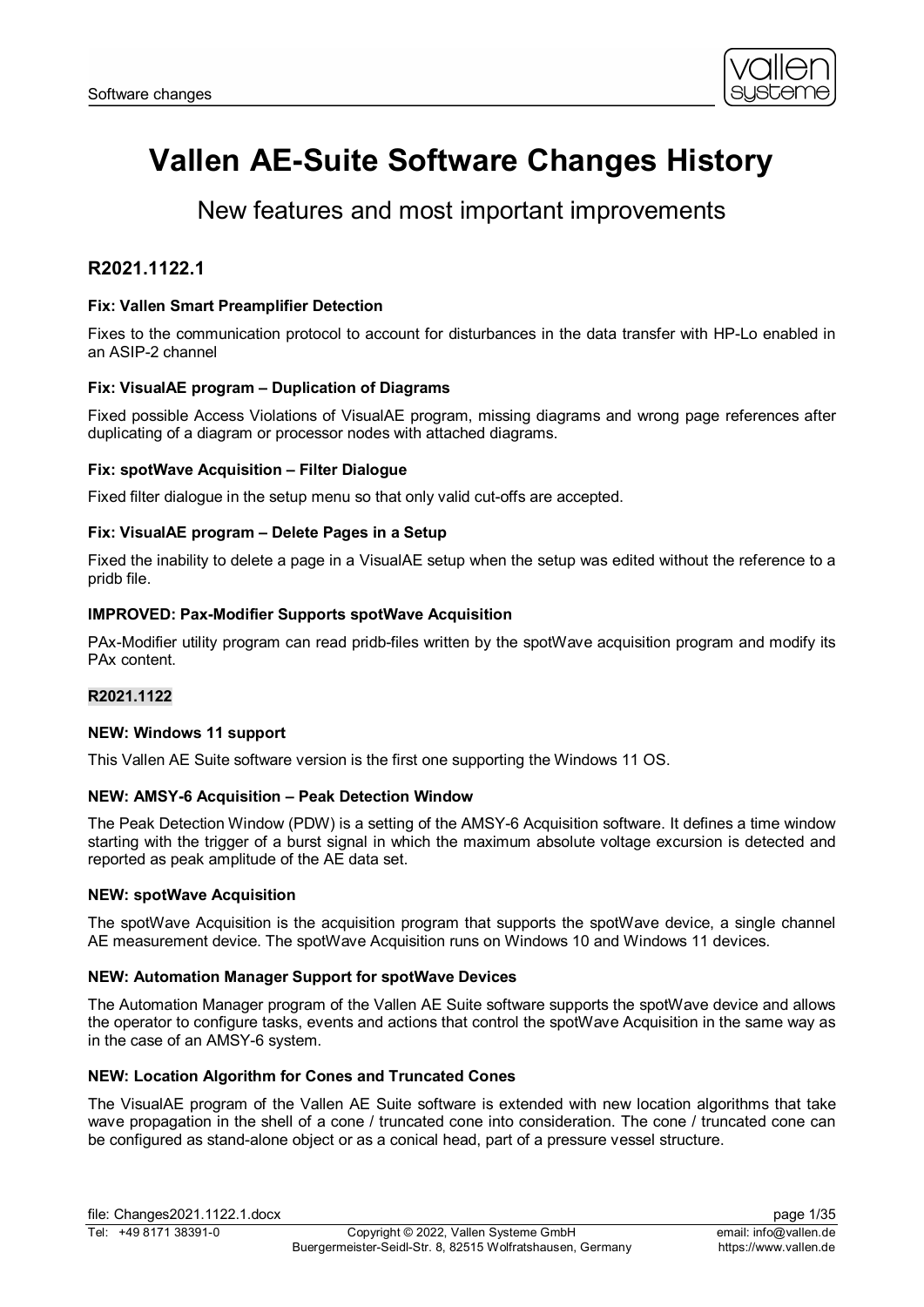

# **Vallen AE-Suite Software Changes History**

# New features and most important improvements

# **R2021.1122.1**

# **Fix: Vallen Smart Preamplifier Detection**

Fixes to the communication protocol to account for disturbances in the data transfer with HP-Lo enabled in an ASIP-2 channel

# **Fix: VisualAE program – Duplication of Diagrams**

Fixed possible Access Violations of VisualAE program, missing diagrams and wrong page references after duplicating of a diagram or processor nodes with attached diagrams.

# **Fix: spotWave Acquisition – Filter Dialogue**

Fixed filter dialogue in the setup menu so that only valid cut-offs are accepted.

# **Fix: VisualAE program – Delete Pages in a Setup**

Fixed the inability to delete a page in a VisualAE setup when the setup was edited without the reference to a pridb file.

# **IMPROVED: Pax-Modifier Supports spotWave Acquisition**

PAx-Modifier utility program can read pridb-files written by the spotWave acquisition program and modify its PAx content.

# **R2021.1122**

#### **NEW: Windows 11 support**

This Vallen AE Suite software version is the first one supporting the Windows 11 OS.

#### **NEW: AMSY-6 Acquisition – Peak Detection Window**

The Peak Detection Window (PDW) is a setting of the AMSY-6 Acquisition software. It defines a time window starting with the trigger of a burst signal in which the maximum absolute voltage excursion is detected and reported as peak amplitude of the AE data set.

#### **NEW: spotWave Acquisition**

The spotWave Acquisition is the acquisition program that supports the spotWave device, a single channel AE measurement device. The spotWave Acquisition runs on Windows 10 and Windows 11 devices.

# **NEW: Automation Manager Support for spotWave Devices**

The Automation Manager program of the Vallen AE Suite software supports the spotWave device and allows the operator to configure tasks, events and actions that control the spotWave Acquisition in the same way as in the case of an AMSY-6 system.

#### **NEW: Location Algorithm for Cones and Truncated Cones**

The VisualAE program of the Vallen AE Suite software is extended with new location algorithms that take wave propagation in the shell of a cone / truncated cone into consideration. The cone / truncated cone can be configured as stand-alone object or as a conical head, part of a pressure vessel structure.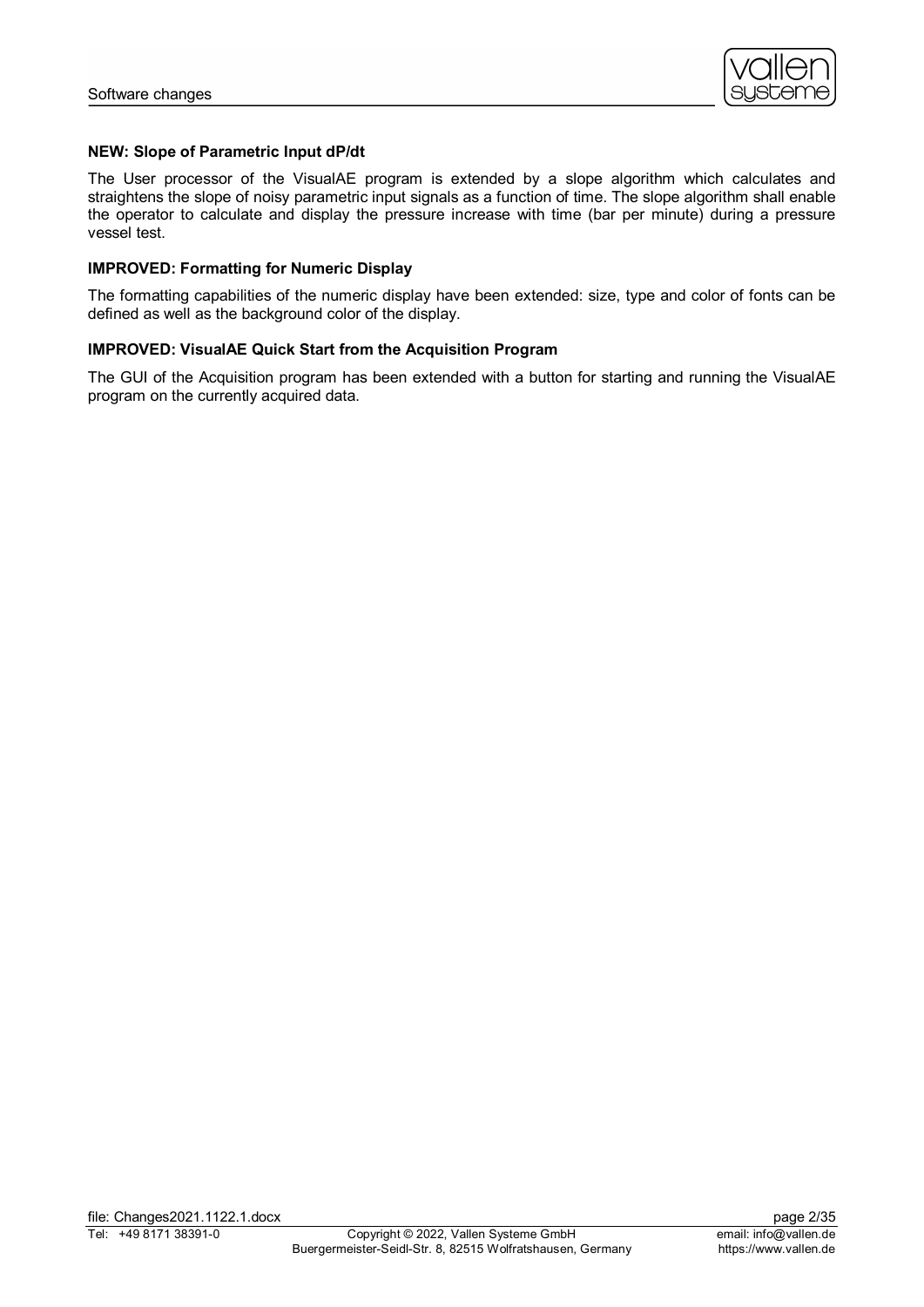

# **NEW: Slope of Parametric Input dP/dt**

The User processor of the VisualAE program is extended by a slope algorithm which calculates and straightens the slope of noisy parametric input signals as a function of time. The slope algorithm shall enable the operator to calculate and display the pressure increase with time (bar per minute) during a pressure vessel test.

### **IMPROVED: Formatting for Numeric Display**

The formatting capabilities of the numeric display have been extended: size, type and color of fonts can be defined as well as the background color of the display.

# **IMPROVED: VisualAE Quick Start from the Acquisition Program**

The GUI of the Acquisition program has been extended with a button for starting and running the VisualAE program on the currently acquired data.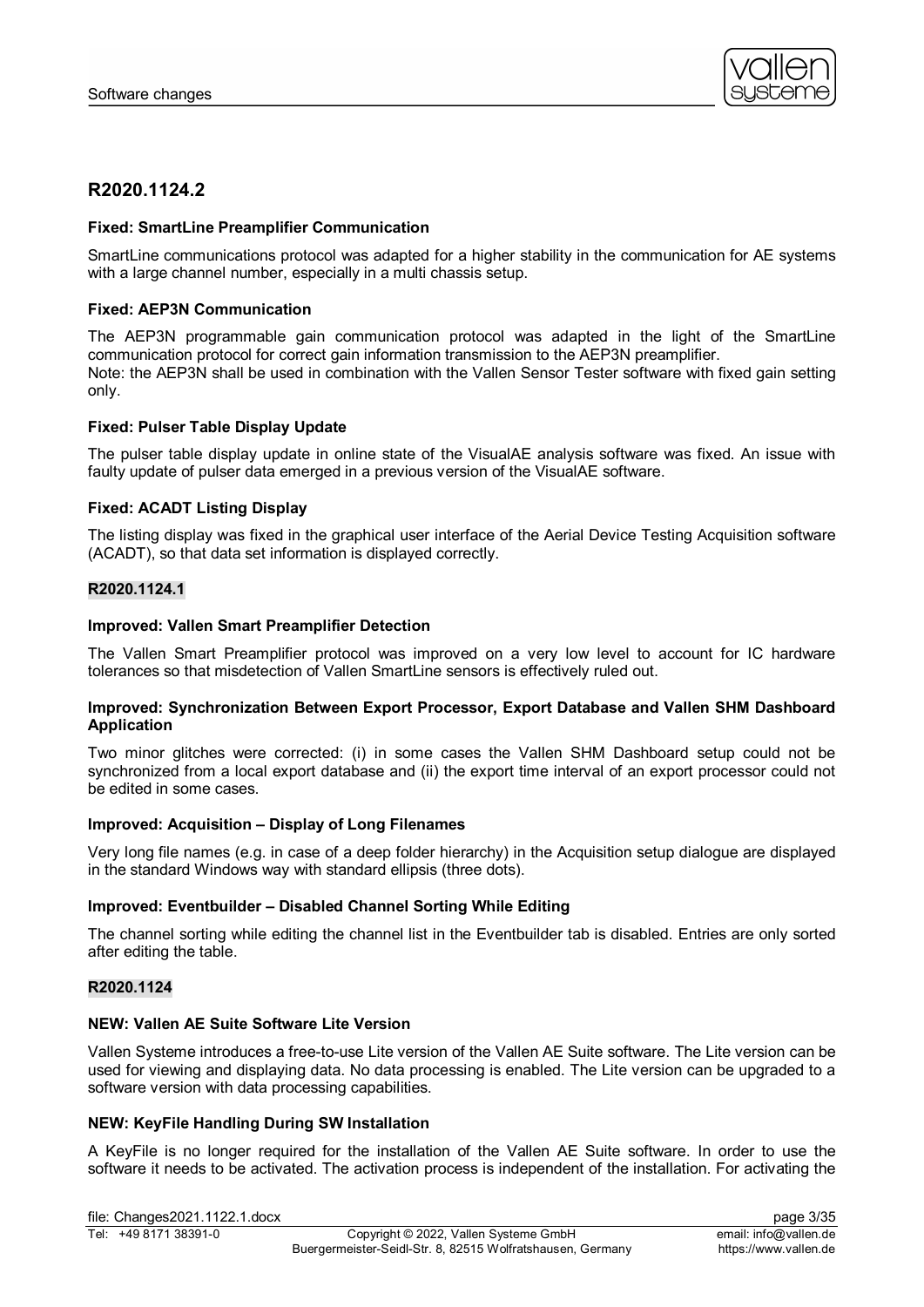

# **R2020.1124.2**

# **Fixed: SmartLine Preamplifier Communication**

SmartLine communications protocol was adapted for a higher stability in the communication for AE systems with a large channel number, especially in a multi chassis setup.

# **Fixed: AEP3N Communication**

The AEP3N programmable gain communication protocol was adapted in the light of the SmartLine communication protocol for correct gain information transmission to the AEP3N preamplifier. Note: the AEP3N shall be used in combination with the Vallen Sensor Tester software with fixed gain setting only.

# **Fixed: Pulser Table Display Update**

The pulser table display update in online state of the VisualAE analysis software was fixed. An issue with faulty update of pulser data emerged in a previous version of the VisualAE software.

# **Fixed: ACADT Listing Display**

The listing display was fixed in the graphical user interface of the Aerial Device Testing Acquisition software (ACADT), so that data set information is displayed correctly.

# **R2020.1124.1**

#### **Improved: Vallen Smart Preamplifier Detection**

The Vallen Smart Preamplifier protocol was improved on a very low level to account for IC hardware tolerances so that misdetection of Vallen SmartLine sensors is effectively ruled out.

#### **Improved: Synchronization Between Export Processor, Export Database and Vallen SHM Dashboard Application**

Two minor glitches were corrected: (i) in some cases the Vallen SHM Dashboard setup could not be synchronized from a local export database and (ii) the export time interval of an export processor could not be edited in some cases.

#### **Improved: Acquisition – Display of Long Filenames**

Very long file names (e.g. in case of a deep folder hierarchy) in the Acquisition setup dialogue are displayed in the standard Windows way with standard ellipsis (three dots).

#### **Improved: Eventbuilder – Disabled Channel Sorting While Editing**

The channel sorting while editing the channel list in the Eventbuilder tab is disabled. Entries are only sorted after editing the table.

#### **R2020.1124**

#### **NEW: Vallen AE Suite Software Lite Version**

Vallen Systeme introduces a free-to-use Lite version of the Vallen AE Suite software. The Lite version can be used for viewing and displaying data. No data processing is enabled. The Lite version can be upgraded to a software version with data processing capabilities.

#### **NEW: KeyFile Handling During SW Installation**

A KeyFile is no longer required for the installation of the Vallen AE Suite software. In order to use the software it needs to be activated. The activation process is independent of the installation. For activating the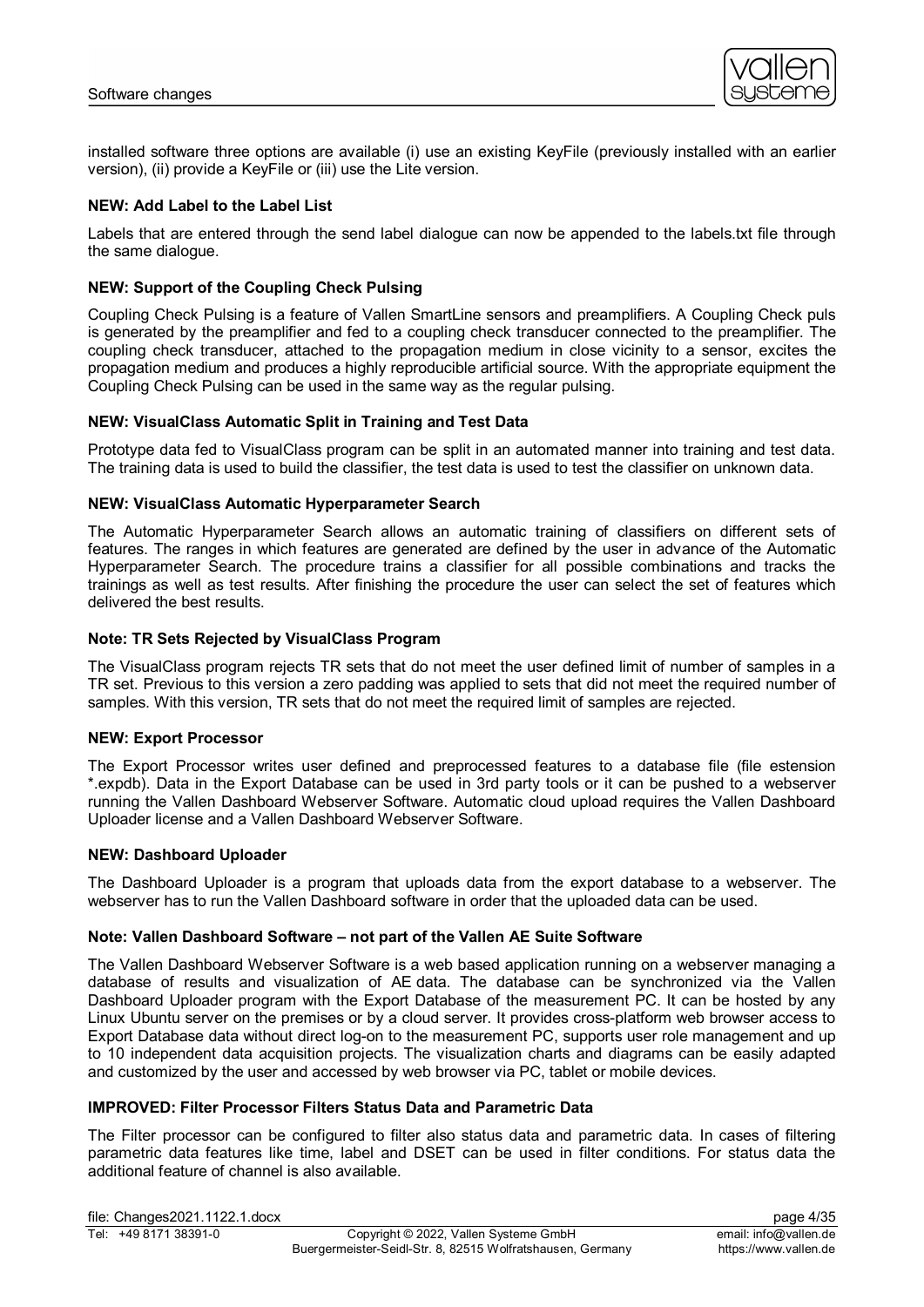

installed software three options are available (i) use an existing KeyFile (previously installed with an earlier version), (ii) provide a KeyFile or (iii) use the Lite version.

# **NEW: Add Label to the Label List**

Labels that are entered through the send label dialogue can now be appended to the labels.txt file through the same dialogue.

# **NEW: Support of the Coupling Check Pulsing**

Coupling Check Pulsing is a feature of Vallen SmartLine sensors and preamplifiers. A Coupling Check puls is generated by the preamplifier and fed to a coupling check transducer connected to the preamplifier. The coupling check transducer, attached to the propagation medium in close vicinity to a sensor, excites the propagation medium and produces a highly reproducible artificial source. With the appropriate equipment the Coupling Check Pulsing can be used in the same way as the regular pulsing.

# **NEW: VisualClass Automatic Split in Training and Test Data**

Prototype data fed to VisualClass program can be split in an automated manner into training and test data. The training data is used to build the classifier, the test data is used to test the classifier on unknown data.

#### **NEW: VisualClass Automatic Hyperparameter Search**

The Automatic Hyperparameter Search allows an automatic training of classifiers on different sets of features. The ranges in which features are generated are defined by the user in advance of the Automatic Hyperparameter Search. The procedure trains a classifier for all possible combinations and tracks the trainings as well as test results. After finishing the procedure the user can select the set of features which delivered the best results.

# **Note: TR Sets Rejected by VisualClass Program**

The VisualClass program rejects TR sets that do not meet the user defined limit of number of samples in a TR set. Previous to this version a zero padding was applied to sets that did not meet the required number of samples. With this version, TR sets that do not meet the required limit of samples are rejected.

#### **NEW: Export Processor**

The Export Processor writes user defined and preprocessed features to a database file (file estension \*.expdb). Data in the Export Database can be used in 3rd party tools or it can be pushed to a webserver running the Vallen Dashboard Webserver Software. Automatic cloud upload requires the Vallen Dashboard Uploader license and a Vallen Dashboard Webserver Software.

#### **NEW: Dashboard Uploader**

The Dashboard Uploader is a program that uploads data from the export database to a webserver. The webserver has to run the Vallen Dashboard software in order that the uploaded data can be used.

#### **Note: Vallen Dashboard Software – not part of the Vallen AE Suite Software**

The Vallen Dashboard Webserver Software is a web based application running on a webserver managing a database of results and visualization of AE data. The database can be synchronized via the Vallen Dashboard Uploader program with the Export Database of the measurement PC. It can be hosted by any Linux Ubuntu server on the premises or by a cloud server. It provides cross-platform web browser access to Export Database data without direct log-on to the measurement PC, supports user role management and up to 10 independent data acquisition projects. The visualization charts and diagrams can be easily adapted and customized by the user and accessed by web browser via PC, tablet or mobile devices.

# **IMPROVED: Filter Processor Filters Status Data and Parametric Data**

The Filter processor can be configured to filter also status data and parametric data. In cases of filtering parametric data features like time, label and DSET can be used in filter conditions. For status data the additional feature of channel is also available.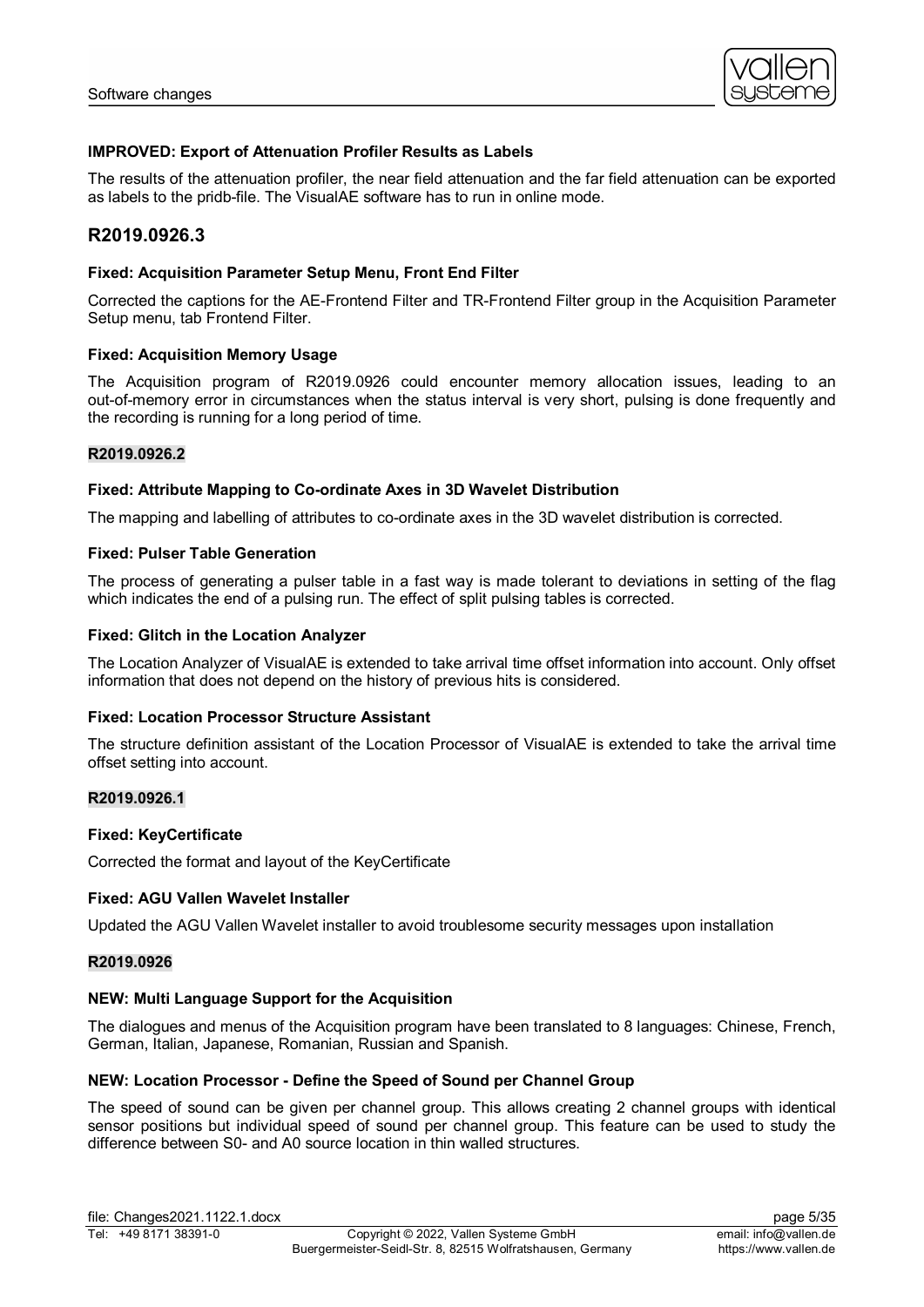

# **IMPROVED: Export of Attenuation Profiler Results as Labels**

The results of the attenuation profiler, the near field attenuation and the far field attenuation can be exported as labels to the pridb-file. The VisualAE software has to run in online mode.

# **R2019.0926.3**

### **Fixed: Acquisition Parameter Setup Menu, Front End Filter**

Corrected the captions for the AE-Frontend Filter and TR-Frontend Filter group in the Acquisition Parameter Setup menu, tab Frontend Filter.

# **Fixed: Acquisition Memory Usage**

The Acquisition program of R2019.0926 could encounter memory allocation issues, leading to an out-of-memory error in circumstances when the status interval is very short, pulsing is done frequently and the recording is running for a long period of time.

#### **R2019.0926.2**

#### **Fixed: Attribute Mapping to Co-ordinate Axes in 3D Wavelet Distribution**

The mapping and labelling of attributes to co-ordinate axes in the 3D wavelet distribution is corrected.

# **Fixed: Pulser Table Generation**

The process of generating a pulser table in a fast way is made tolerant to deviations in setting of the flag which indicates the end of a pulsing run. The effect of split pulsing tables is corrected.

# **Fixed: Glitch in the Location Analyzer**

The Location Analyzer of VisualAE is extended to take arrival time offset information into account. Only offset information that does not depend on the history of previous hits is considered.

#### **Fixed: Location Processor Structure Assistant**

The structure definition assistant of the Location Processor of VisualAE is extended to take the arrival time offset setting into account.

# **R2019.0926.1**

#### **Fixed: KeyCertificate**

Corrected the format and layout of the KeyCertificate

#### **Fixed: AGU Vallen Wavelet Installer**

Updated the AGU Vallen Wavelet installer to avoid troublesome security messages upon installation

#### **R2019.0926**

#### **NEW: Multi Language Support for the Acquisition**

The dialogues and menus of the Acquisition program have been translated to 8 languages: Chinese, French, German, Italian, Japanese, Romanian, Russian and Spanish.

### **NEW: Location Processor - Define the Speed of Sound per Channel Group**

The speed of sound can be given per channel group. This allows creating 2 channel groups with identical sensor positions but individual speed of sound per channel group. This feature can be used to study the difference between S0- and A0 source location in thin walled structures.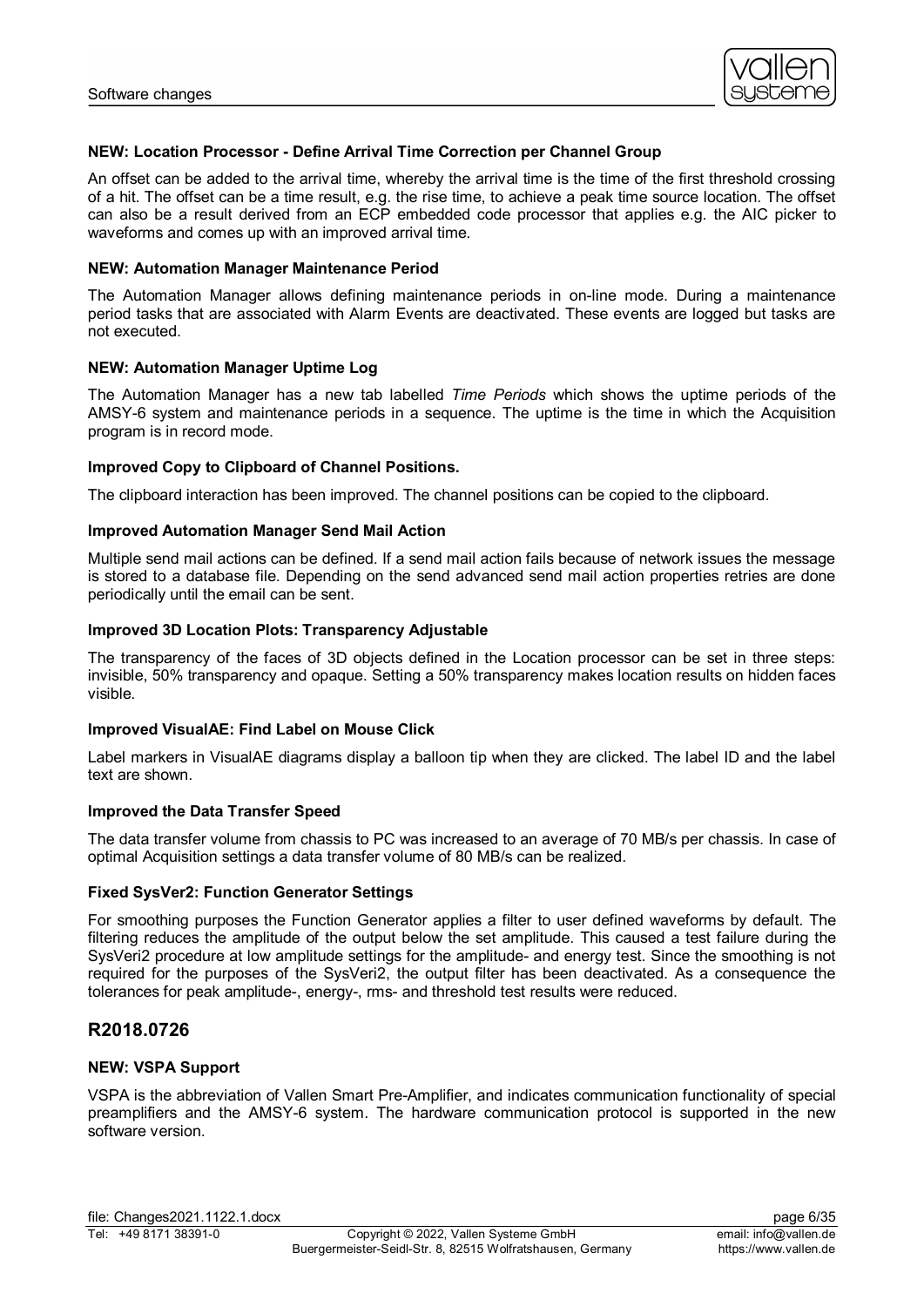

# **NEW: Location Processor - Define Arrival Time Correction per Channel Group**

An offset can be added to the arrival time, whereby the arrival time is the time of the first threshold crossing of a hit. The offset can be a time result, e.g. the rise time, to achieve a peak time source location. The offset can also be a result derived from an ECP embedded code processor that applies e.g. the AIC picker to waveforms and comes up with an improved arrival time.

### **NEW: Automation Manager Maintenance Period**

The Automation Manager allows defining maintenance periods in on-line mode. During a maintenance period tasks that are associated with Alarm Events are deactivated. These events are logged but tasks are not executed.

# **NEW: Automation Manager Uptime Log**

The Automation Manager has a new tab labelled *Time Periods* which shows the uptime periods of the AMSY-6 system and maintenance periods in a sequence. The uptime is the time in which the Acquisition program is in record mode.

# **Improved Copy to Clipboard of Channel Positions.**

The clipboard interaction has been improved. The channel positions can be copied to the clipboard.

# **Improved Automation Manager Send Mail Action**

Multiple send mail actions can be defined. If a send mail action fails because of network issues the message is stored to a database file. Depending on the send advanced send mail action properties retries are done periodically until the email can be sent.

# **Improved 3D Location Plots: Transparency Adjustable**

The transparency of the faces of 3D objects defined in the Location processor can be set in three steps: invisible, 50% transparency and opaque. Setting a 50% transparency makes location results on hidden faces visible.

# **Improved VisualAE: Find Label on Mouse Click**

Label markers in VisualAE diagrams display a balloon tip when they are clicked. The label ID and the label text are shown.

#### **Improved the Data Transfer Speed**

The data transfer volume from chassis to PC was increased to an average of 70 MB/s per chassis. In case of optimal Acquisition settings a data transfer volume of 80 MB/s can be realized.

#### **Fixed SysVer2: Function Generator Settings**

For smoothing purposes the Function Generator applies a filter to user defined waveforms by default. The filtering reduces the amplitude of the output below the set amplitude. This caused a test failure during the SysVeri2 procedure at low amplitude settings for the amplitude- and energy test. Since the smoothing is not required for the purposes of the SysVeri2, the output filter has been deactivated. As a consequence the tolerances for peak amplitude-, energy-, rms- and threshold test results were reduced.

# **R2018.0726**

# **NEW: VSPA Support**

VSPA is the abbreviation of Vallen Smart Pre-Amplifier, and indicates communication functionality of special preamplifiers and the AMSY-6 system. The hardware communication protocol is supported in the new software version.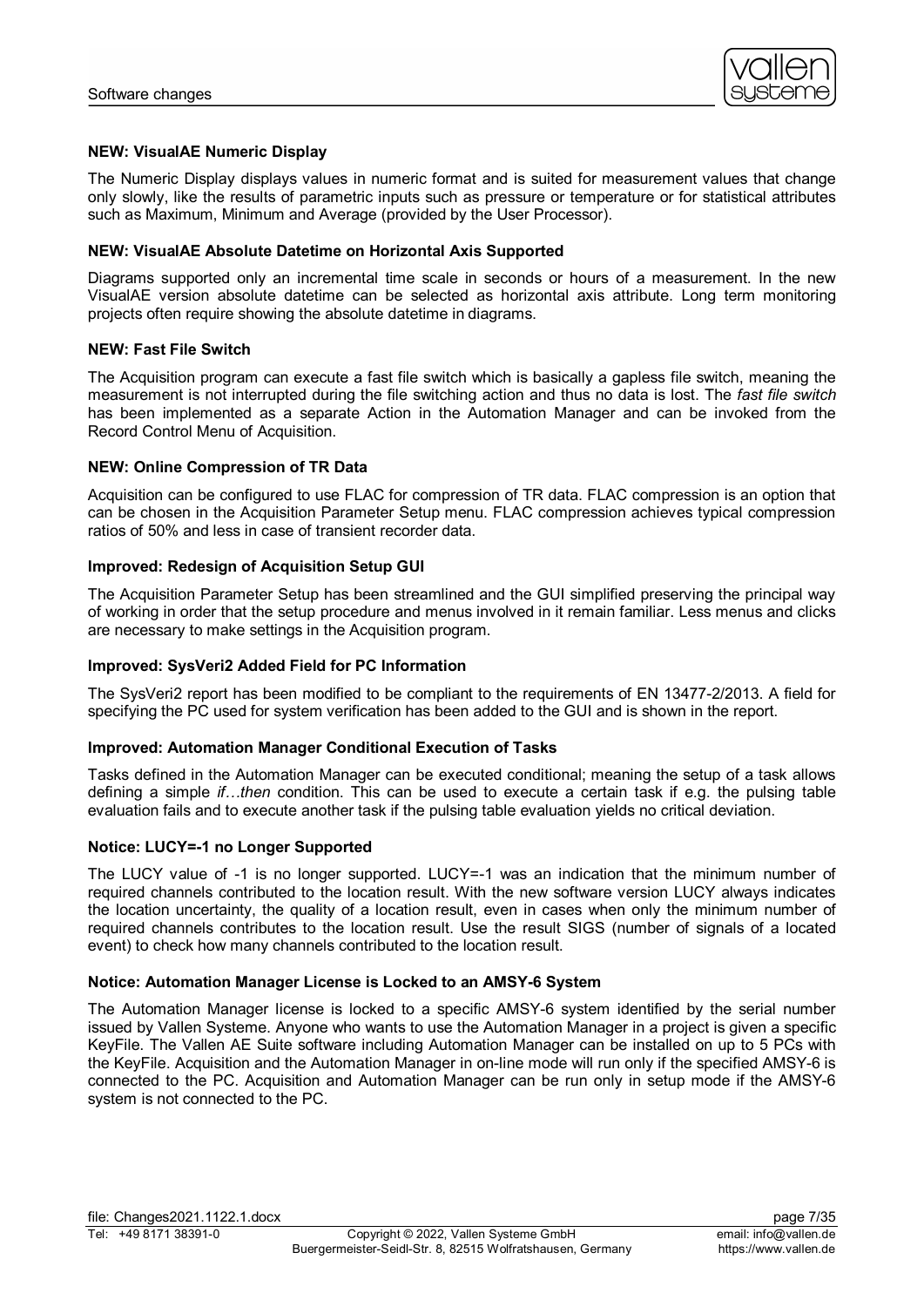

# **NEW: VisualAE Numeric Display**

The Numeric Display displays values in numeric format and is suited for measurement values that change only slowly, like the results of parametric inputs such as pressure or temperature or for statistical attributes such as Maximum, Minimum and Average (provided by the User Processor).

### **NEW: VisualAE Absolute Datetime on Horizontal Axis Supported**

Diagrams supported only an incremental time scale in seconds or hours of a measurement. In the new VisualAE version absolute datetime can be selected as horizontal axis attribute. Long term monitoring projects often require showing the absolute datetime in diagrams.

# **NEW: Fast File Switch**

The Acquisition program can execute a fast file switch which is basically a gapless file switch, meaning the measurement is not interrupted during the file switching action and thus no data is lost. The *fast file switch* has been implemented as a separate Action in the Automation Manager and can be invoked from the Record Control Menu of Acquisition.

# **NEW: Online Compression of TR Data**

Acquisition can be configured to use FLAC for compression of TR data. FLAC compression is an option that can be chosen in the Acquisition Parameter Setup menu. FLAC compression achieves typical compression ratios of 50% and less in case of transient recorder data.

# **Improved: Redesign of Acquisition Setup GUI**

The Acquisition Parameter Setup has been streamlined and the GUI simplified preserving the principal way of working in order that the setup procedure and menus involved in it remain familiar. Less menus and clicks are necessary to make settings in the Acquisition program.

# **Improved: SysVeri2 Added Field for PC Information**

The SysVeri2 report has been modified to be compliant to the requirements of EN 13477-2/2013. A field for specifying the PC used for system verification has been added to the GUI and is shown in the report.

#### **Improved: Automation Manager Conditional Execution of Tasks**

Tasks defined in the Automation Manager can be executed conditional; meaning the setup of a task allows defining a simple *if…then* condition. This can be used to execute a certain task if e.g. the pulsing table evaluation fails and to execute another task if the pulsing table evaluation yields no critical deviation.

#### **Notice: LUCY=-1 no Longer Supported**

The LUCY value of -1 is no longer supported. LUCY=-1 was an indication that the minimum number of required channels contributed to the location result. With the new software version LUCY always indicates the location uncertainty, the quality of a location result, even in cases when only the minimum number of required channels contributes to the location result. Use the result SIGS (number of signals of a located event) to check how many channels contributed to the location result.

#### **Notice: Automation Manager License is Locked to an AMSY-6 System**

The Automation Manager license is locked to a specific AMSY-6 system identified by the serial number issued by Vallen Systeme. Anyone who wants to use the Automation Manager in a project is given a specific KeyFile. The Vallen AE Suite software including Automation Manager can be installed on up to 5 PCs with the KeyFile. Acquisition and the Automation Manager in on-line mode will run only if the specified AMSY-6 is connected to the PC. Acquisition and Automation Manager can be run only in setup mode if the AMSY-6 system is not connected to the PC.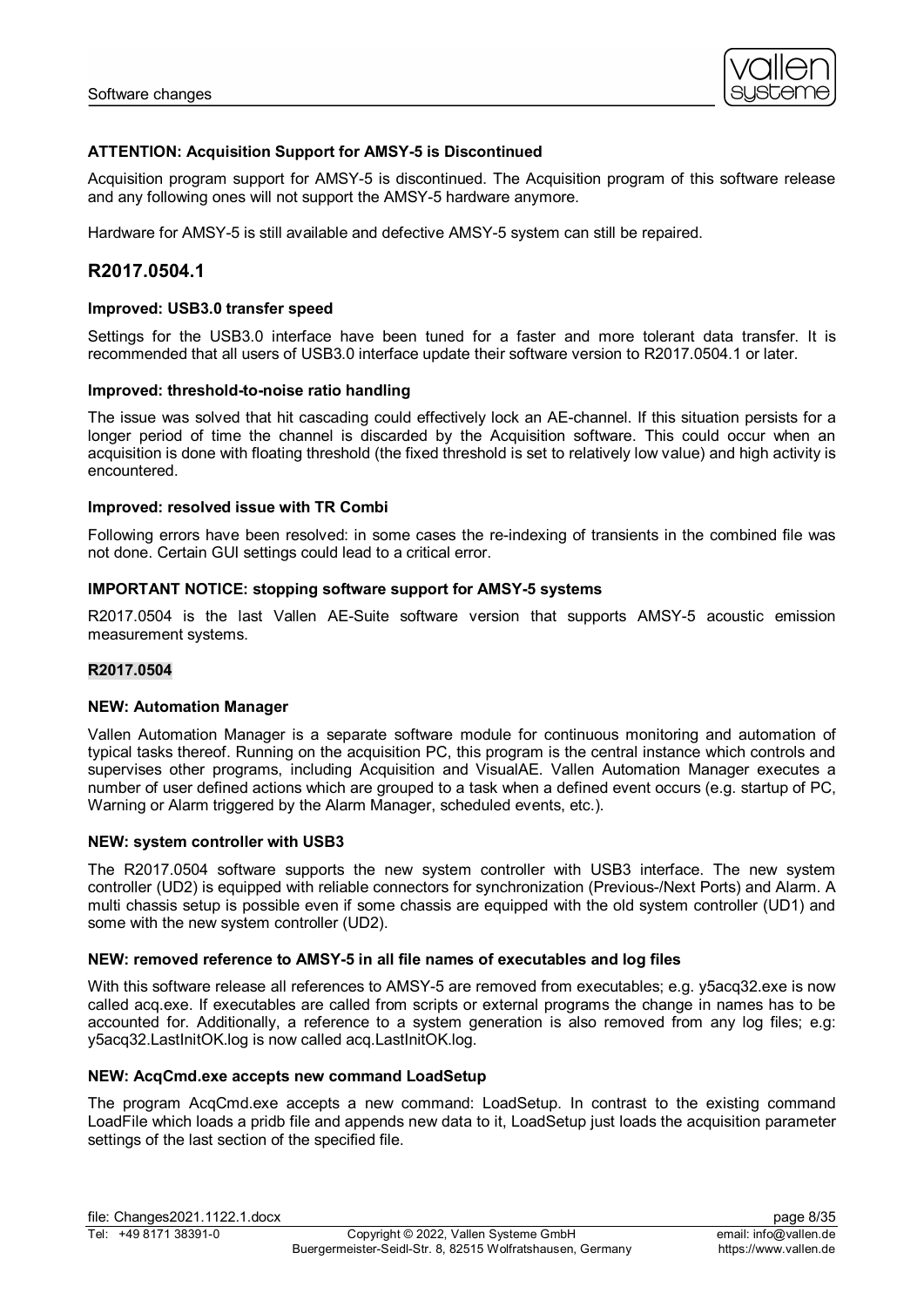

# **ATTENTION: Acquisition Support for AMSY-5 is Discontinued**

Acquisition program support for AMSY-5 is discontinued. The Acquisition program of this software release and any following ones will not support the AMSY-5 hardware anymore.

Hardware for AMSY-5 is still available and defective AMSY-5 system can still be repaired.

# **R2017.0504.1**

#### **Improved: USB3.0 transfer speed**

Settings for the USB3.0 interface have been tuned for a faster and more tolerant data transfer. It is recommended that all users of USB3.0 interface update their software version to R2017.0504.1 or later.

#### **Improved: threshold-to-noise ratio handling**

The issue was solved that hit cascading could effectively lock an AE-channel. If this situation persists for a longer period of time the channel is discarded by the Acquisition software. This could occur when an acquisition is done with floating threshold (the fixed threshold is set to relatively low value) and high activity is encountered.

# **Improved: resolved issue with TR Combi**

Following errors have been resolved: in some cases the re-indexing of transients in the combined file was not done. Certain GUI settings could lead to a critical error.

#### **IMPORTANT NOTICE: stopping software support for AMSY-5 systems**

R2017.0504 is the last Vallen AE-Suite software version that supports AMSY-5 acoustic emission measurement systems.

#### **R2017.0504**

#### **NEW: Automation Manager**

Vallen Automation Manager is a separate software module for continuous monitoring and automation of typical tasks thereof. Running on the acquisition PC, this program is the central instance which controls and supervises other programs, including Acquisition and VisualAE. Vallen Automation Manager executes a number of user defined actions which are grouped to a task when a defined event occurs (e.g. startup of PC, Warning or Alarm triggered by the Alarm Manager, scheduled events, etc.).

#### **NEW: system controller with USB3**

The R2017.0504 software supports the new system controller with USB3 interface. The new system controller (UD2) is equipped with reliable connectors for synchronization (Previous-/Next Ports) and Alarm. A multi chassis setup is possible even if some chassis are equipped with the old system controller (UD1) and some with the new system controller (UD2).

# **NEW: removed reference to AMSY-5 in all file names of executables and log files**

With this software release all references to AMSY-5 are removed from executables; e.g. y5acq32.exe is now called acq.exe. If executables are called from scripts or external programs the change in names has to be accounted for. Additionally, a reference to a system generation is also removed from any log files; e.g: y5acq32.LastInitOK.log is now called acq.LastInitOK.log.

#### **NEW: AcqCmd.exe accepts new command LoadSetup**

The program AcqCmd.exe accepts a new command: LoadSetup. In contrast to the existing command LoadFile which loads a pridb file and appends new data to it, LoadSetup just loads the acquisition parameter settings of the last section of the specified file.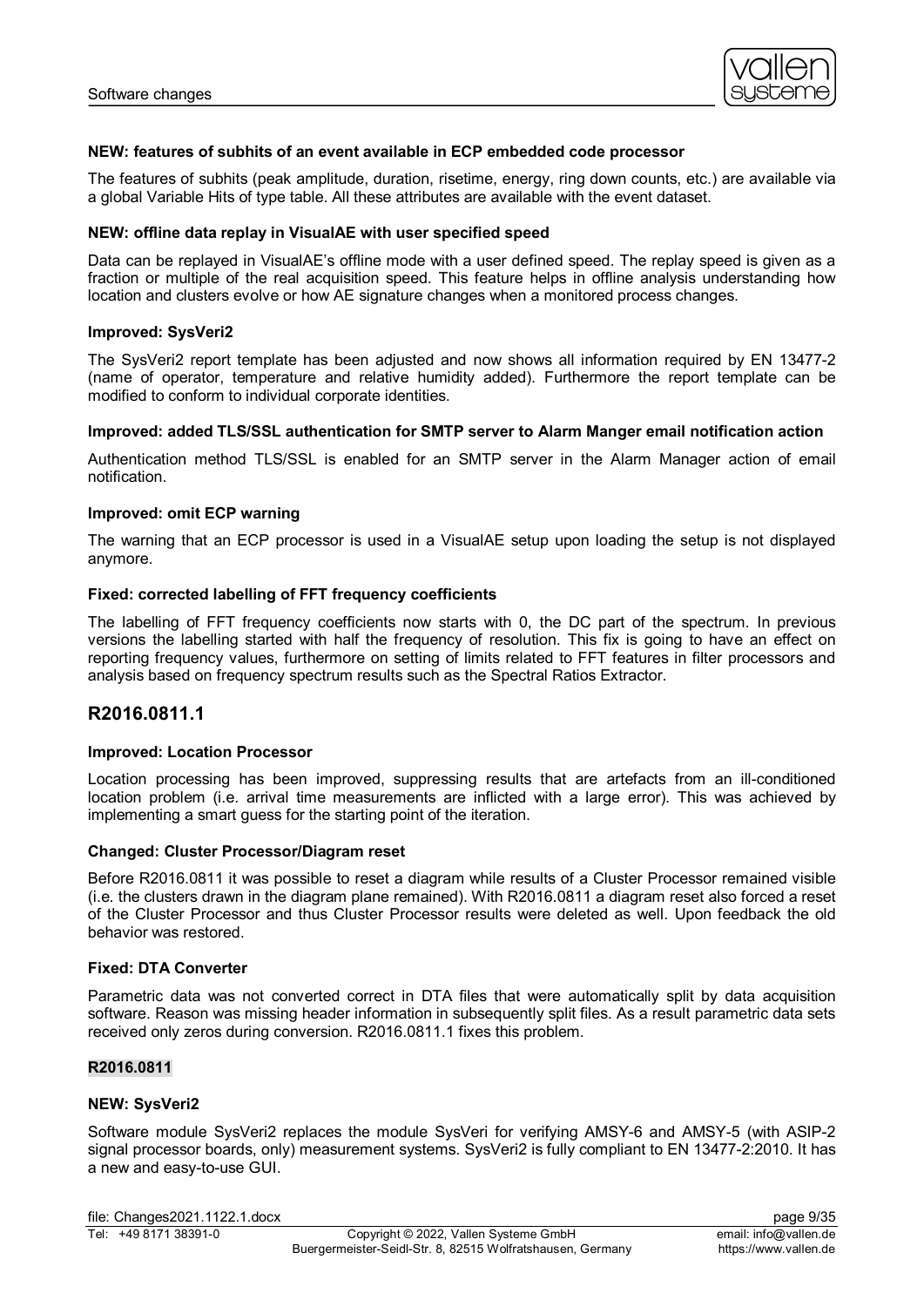

#### **NEW: features of subhits of an event available in ECP embedded code processor**

The features of subhits (peak amplitude, duration, risetime, energy, ring down counts, etc.) are available via a global Variable Hits of type table. All these attributes are available with the event dataset.

#### **NEW: offline data replay in VisualAE with user specified speed**

Data can be replayed in VisualAE's offline mode with a user defined speed. The replay speed is given as a fraction or multiple of the real acquisition speed. This feature helps in offline analysis understanding how location and clusters evolve or how AE signature changes when a monitored process changes.

#### **Improved: SysVeri2**

The SysVeri2 report template has been adjusted and now shows all information required by EN 13477-2 (name of operator, temperature and relative humidity added). Furthermore the report template can be modified to conform to individual corporate identities.

# **Improved: added TLS/SSL authentication for SMTP server to Alarm Manger email notification action**

Authentication method TLS/SSL is enabled for an SMTP server in the Alarm Manager action of email notification.

#### **Improved: omit ECP warning**

The warning that an ECP processor is used in a VisualAE setup upon loading the setup is not displayed anymore.

#### **Fixed: corrected labelling of FFT frequency coefficients**

The labelling of FFT frequency coefficients now starts with 0, the DC part of the spectrum. In previous versions the labelling started with half the frequency of resolution. This fix is going to have an effect on reporting frequency values, furthermore on setting of limits related to FFT features in filter processors and analysis based on frequency spectrum results such as the Spectral Ratios Extractor.

# **R2016.0811.1**

#### **Improved: Location Processor**

Location processing has been improved, suppressing results that are artefacts from an ill-conditioned location problem (i.e. arrival time measurements are inflicted with a large error). This was achieved by implementing a smart guess for the starting point of the iteration.

#### **Changed: Cluster Processor/Diagram reset**

Before R2016.0811 it was possible to reset a diagram while results of a Cluster Processor remained visible (i.e. the clusters drawn in the diagram plane remained). With R2016.0811 a diagram reset also forced a reset of the Cluster Processor and thus Cluster Processor results were deleted as well. Upon feedback the old behavior was restored.

#### **Fixed: DTA Converter**

Parametric data was not converted correct in DTA files that were automatically split by data acquisition software. Reason was missing header information in subsequently split files. As a result parametric data sets received only zeros during conversion. R2016.0811.1 fixes this problem.

#### **R2016.0811**

#### **NEW: SysVeri2**

Software module SysVeri2 replaces the module SysVeri for verifying AMSY-6 and AMSY-5 (with ASIP-2 signal processor boards, only) measurement systems. SysVeri2 is fully compliant to EN 13477-2:2010. It has a new and easy-to-use GUI.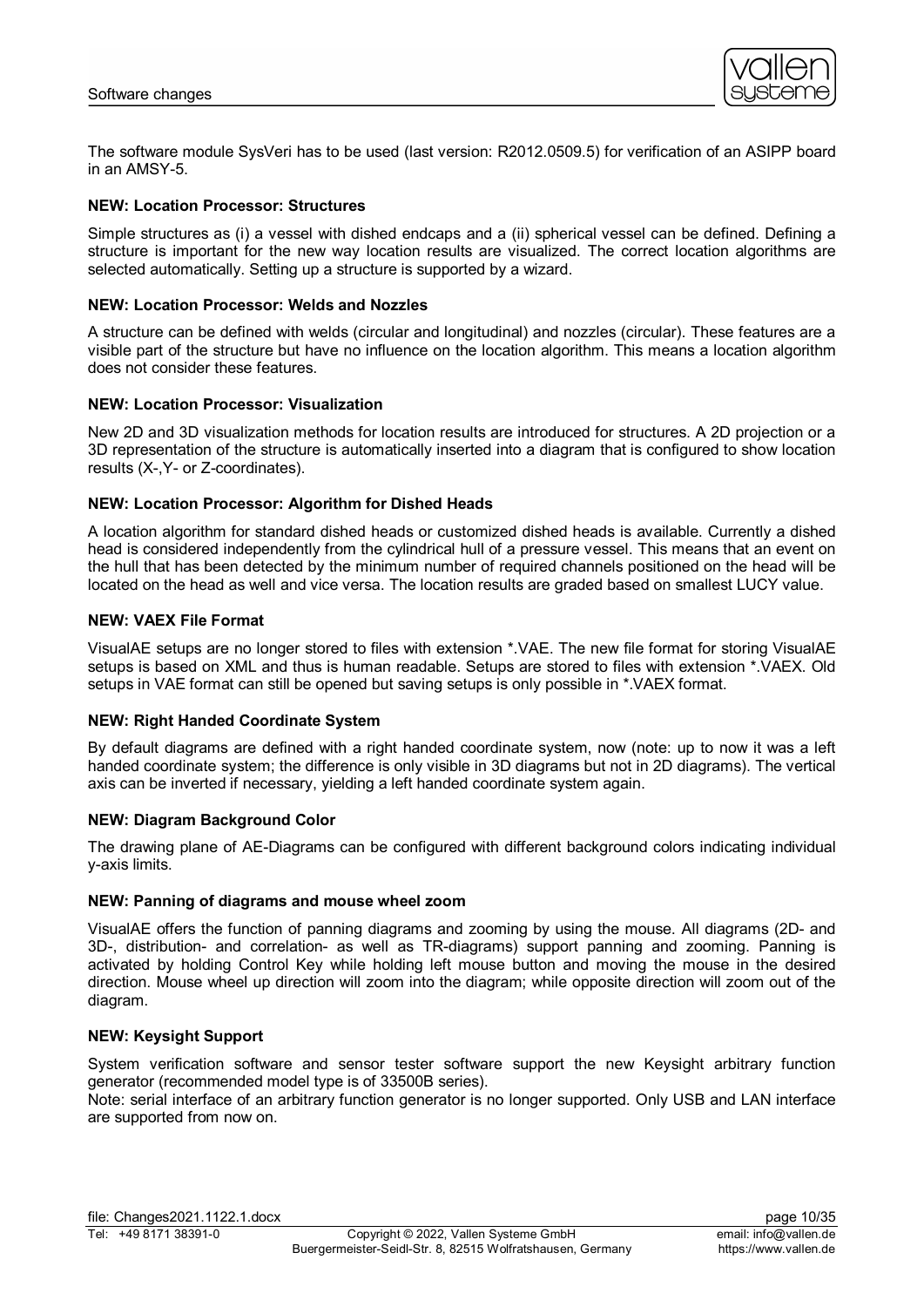

The software module SysVeri has to be used (last version: R2012.0509.5) for verification of an ASIPP board in an AMSY-5.

### **NEW: Location Processor: Structures**

Simple structures as (i) a vessel with dished endcaps and a (ii) spherical vessel can be defined. Defining a structure is important for the new way location results are visualized. The correct location algorithms are selected automatically. Setting up a structure is supported by a wizard.

### **NEW: Location Processor: Welds and Nozzles**

A structure can be defined with welds (circular and longitudinal) and nozzles (circular). These features are a visible part of the structure but have no influence on the location algorithm. This means a location algorithm does not consider these features.

# **NEW: Location Processor: Visualization**

New 2D and 3D visualization methods for location results are introduced for structures. A 2D projection or a 3D representation of the structure is automatically inserted into a diagram that is configured to show location results (X-,Y- or Z-coordinates).

# **NEW: Location Processor: Algorithm for Dished Heads**

A location algorithm for standard dished heads or customized dished heads is available. Currently a dished head is considered independently from the cylindrical hull of a pressure vessel. This means that an event on the hull that has been detected by the minimum number of required channels positioned on the head will be located on the head as well and vice versa. The location results are graded based on smallest LUCY value.

# **NEW: VAEX File Format**

VisualAE setups are no longer stored to files with extension \*.VAE. The new file format for storing VisualAE setups is based on XML and thus is human readable. Setups are stored to files with extension \*.VAEX. Old setups in VAE format can still be opened but saving setups is only possible in \*.VAEX format.

# **NEW: Right Handed Coordinate System**

By default diagrams are defined with a right handed coordinate system, now (note: up to now it was a left handed coordinate system; the difference is only visible in 3D diagrams but not in 2D diagrams). The vertical axis can be inverted if necessary, yielding a left handed coordinate system again.

#### **NEW: Diagram Background Color**

The drawing plane of AE-Diagrams can be configured with different background colors indicating individual y-axis limits.

#### **NEW: Panning of diagrams and mouse wheel zoom**

VisualAE offers the function of panning diagrams and zooming by using the mouse. All diagrams (2D- and 3D-, distribution- and correlation- as well as TR-diagrams) support panning and zooming. Panning is activated by holding Control Key while holding left mouse button and moving the mouse in the desired direction. Mouse wheel up direction will zoom into the diagram; while opposite direction will zoom out of the diagram.

# **NEW: Keysight Support**

System verification software and sensor tester software support the new Keysight arbitrary function generator (recommended model type is of 33500B series).

Note: serial interface of an arbitrary function generator is no longer supported. Only USB and LAN interface are supported from now on.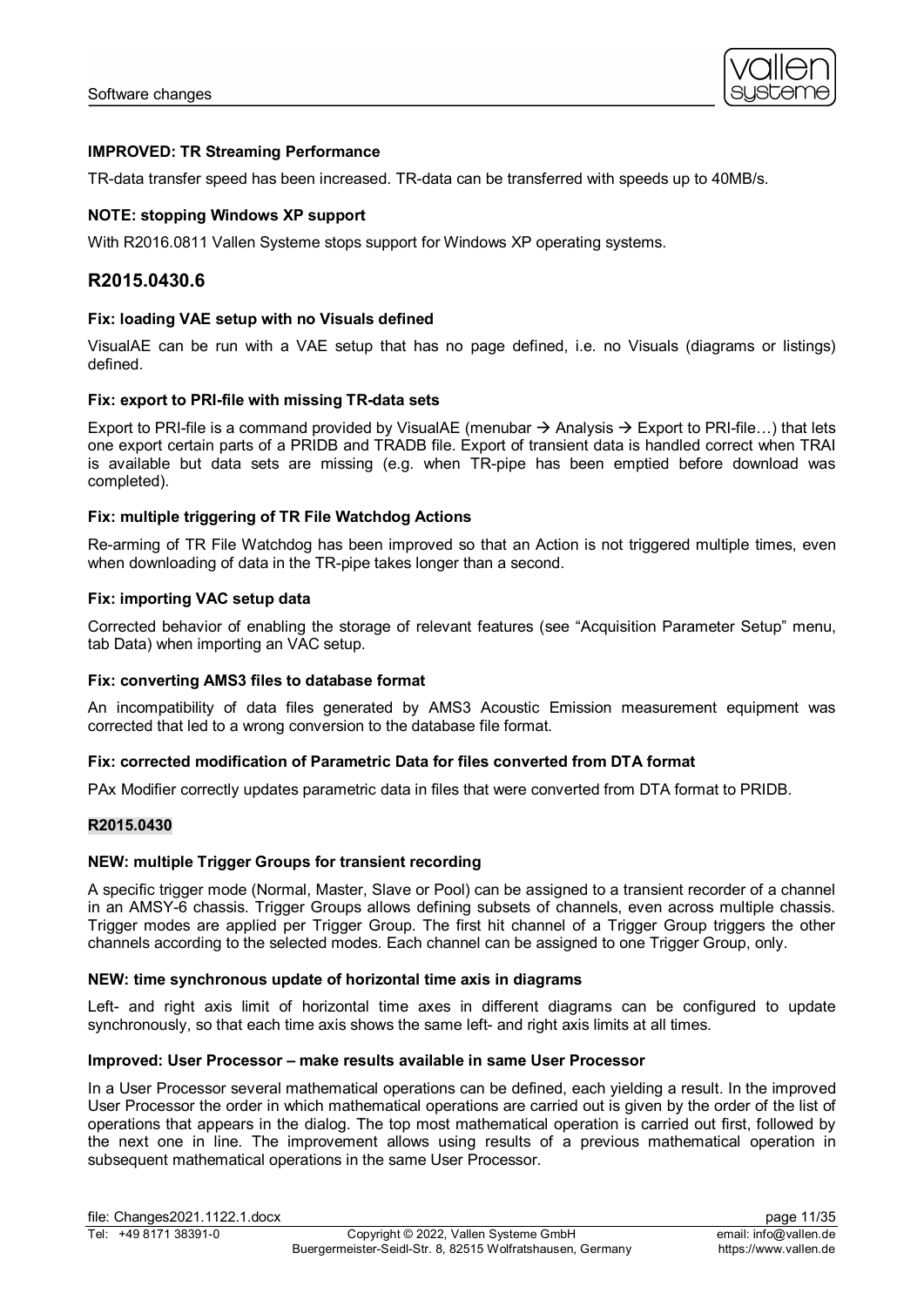

# **IMPROVED: TR Streaming Performance**

TR-data transfer speed has been increased. TR-data can be transferred with speeds up to 40MB/s.

# **NOTE: stopping Windows XP support**

With R2016.0811 Vallen Systeme stops support for Windows XP operating systems.

# **R2015.0430.6**

# **Fix: loading VAE setup with no Visuals defined**

VisualAE can be run with a VAE setup that has no page defined, i.e. no Visuals (diagrams or listings) defined.

#### **Fix: export to PRI-file with missing TR-data sets**

Export to PRI-file is a command provided by VisualAE (menubar  $\rightarrow$  Analysis  $\rightarrow$  Export to PRI-file...) that lets one export certain parts of a PRIDB and TRADB file. Export of transient data is handled correct when TRAI is available but data sets are missing (e.g. when TR-pipe has been emptied before download was completed).

# **Fix: multiple triggering of TR File Watchdog Actions**

Re-arming of TR File Watchdog has been improved so that an Action is not triggered multiple times, even when downloading of data in the TR-pipe takes longer than a second.

# **Fix: importing VAC setup data**

Corrected behavior of enabling the storage of relevant features (see "Acquisition Parameter Setup" menu, tab Data) when importing an VAC setup.

#### **Fix: converting AMS3 files to database format**

An incompatibility of data files generated by AMS3 Acoustic Emission measurement equipment was corrected that led to a wrong conversion to the database file format.

#### **Fix: corrected modification of Parametric Data for files converted from DTA format**

PAx Modifier correctly updates parametric data in files that were converted from DTA format to PRIDB.

### **R2015.0430**

#### **NEW: multiple Trigger Groups for transient recording**

A specific trigger mode (Normal, Master, Slave or Pool) can be assigned to a transient recorder of a channel in an AMSY-6 chassis. Trigger Groups allows defining subsets of channels, even across multiple chassis. Trigger modes are applied per Trigger Group. The first hit channel of a Trigger Group triggers the other channels according to the selected modes. Each channel can be assigned to one Trigger Group, only.

#### **NEW: time synchronous update of horizontal time axis in diagrams**

Left- and right axis limit of horizontal time axes in different diagrams can be configured to update synchronously, so that each time axis shows the same left- and right axis limits at all times.

# **Improved: User Processor – make results available in same User Processor**

In a User Processor several mathematical operations can be defined, each yielding a result. In the improved User Processor the order in which mathematical operations are carried out is given by the order of the list of operations that appears in the dialog. The top most mathematical operation is carried out first, followed by the next one in line. The improvement allows using results of a previous mathematical operation in subsequent mathematical operations in the same User Processor.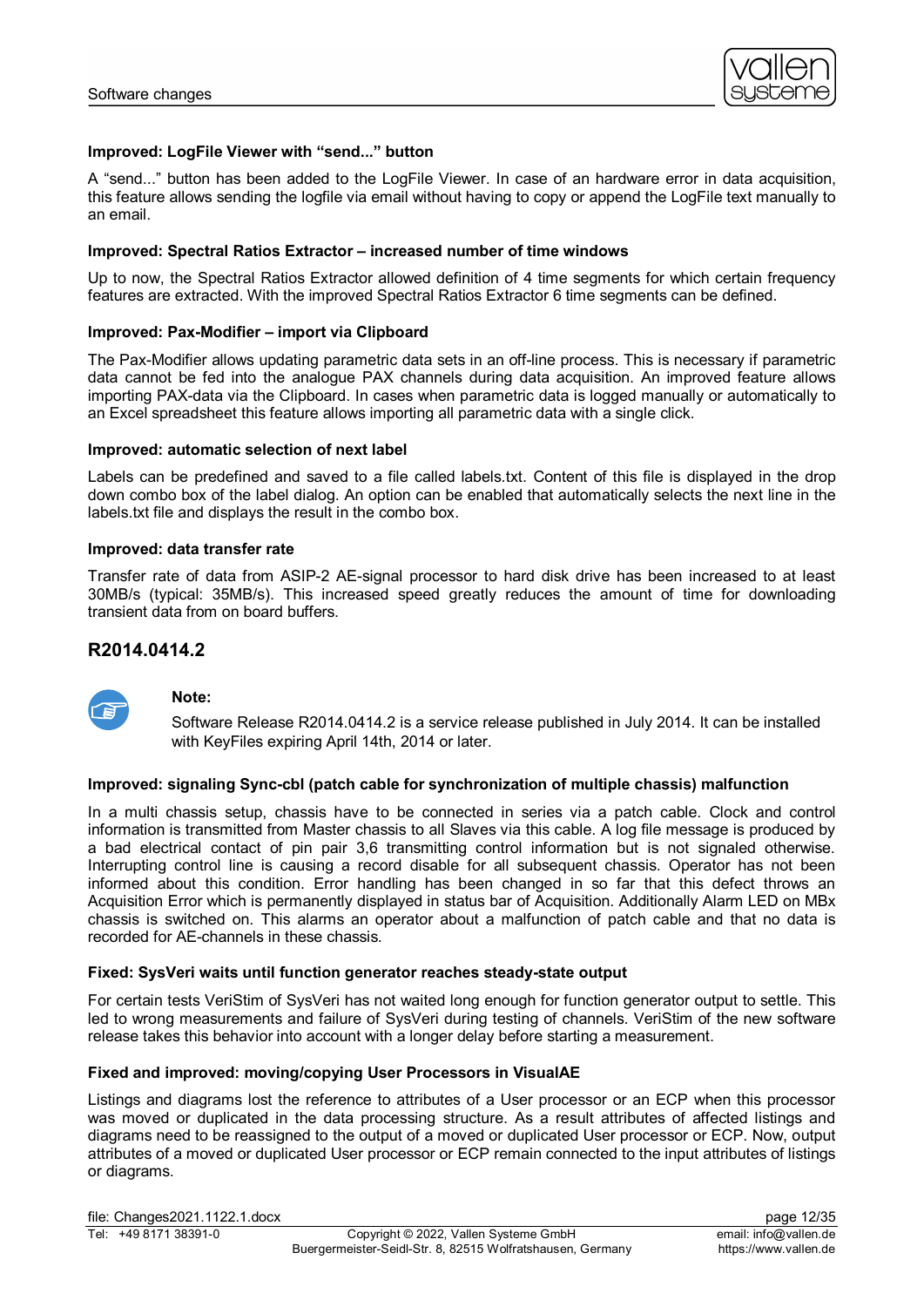

# **Improved: LogFile Viewer with "send..." button**

A "send..." button has been added to the LogFile Viewer. In case of an hardware error in data acquisition, this feature allows sending the logfile via email without having to copy or append the LogFile text manually to an email.

### **Improved: Spectral Ratios Extractor – increased number of time windows**

Up to now, the Spectral Ratios Extractor allowed definition of 4 time segments for which certain frequency features are extracted. With the improved Spectral Ratios Extractor 6 time segments can be defined.

# **Improved: Pax-Modifier – import via Clipboard**

The Pax-Modifier allows updating parametric data sets in an off-line process. This is necessary if parametric data cannot be fed into the analogue PAX channels during data acquisition. An improved feature allows importing PAX-data via the Clipboard. In cases when parametric data is logged manually or automatically to an Excel spreadsheet this feature allows importing all parametric data with a single click.

### **Improved: automatic selection of next label**

Labels can be predefined and saved to a file called labels.txt. Content of this file is displayed in the drop down combo box of the label dialog. An option can be enabled that automatically selects the next line in the labels.txt file and displays the result in the combo box.

#### **Improved: data transfer rate**

Transfer rate of data from ASIP-2 AE-signal processor to hard disk drive has been increased to at least 30MB/s (typical: 35MB/s). This increased speed greatly reduces the amount of time for downloading transient data from on board buffers.

# **R2014.0414.2**



# **Note:**

Software Release R2014.0414.2 is a service release published in July 2014. It can be installed with KeyFiles expiring April 14th, 2014 or later.

#### **Improved: signaling Sync-cbl (patch cable for synchronization of multiple chassis) malfunction**

In a multi chassis setup, chassis have to be connected in series via a patch cable. Clock and control information is transmitted from Master chassis to all Slaves via this cable. A log file message is produced by a bad electrical contact of pin pair 3,6 transmitting control information but is not signaled otherwise. Interrupting control line is causing a record disable for all subsequent chassis. Operator has not been informed about this condition. Error handling has been changed in so far that this defect throws an Acquisition Error which is permanently displayed in status bar of Acquisition. Additionally Alarm LED on MBx chassis is switched on. This alarms an operator about a malfunction of patch cable and that no data is recorded for AE-channels in these chassis.

#### **Fixed: SysVeri waits until function generator reaches steady-state output**

For certain tests VeriStim of SysVeri has not waited long enough for function generator output to settle. This led to wrong measurements and failure of SysVeri during testing of channels. VeriStim of the new software release takes this behavior into account with a longer delay before starting a measurement.

#### **Fixed and improved: moving/copying User Processors in VisualAE**

Listings and diagrams lost the reference to attributes of a User processor or an ECP when this processor was moved or duplicated in the data processing structure. As a result attributes of affected listings and diagrams need to be reassigned to the output of a moved or duplicated User processor or ECP. Now, output attributes of a moved or duplicated User processor or ECP remain connected to the input attributes of listings or diagrams.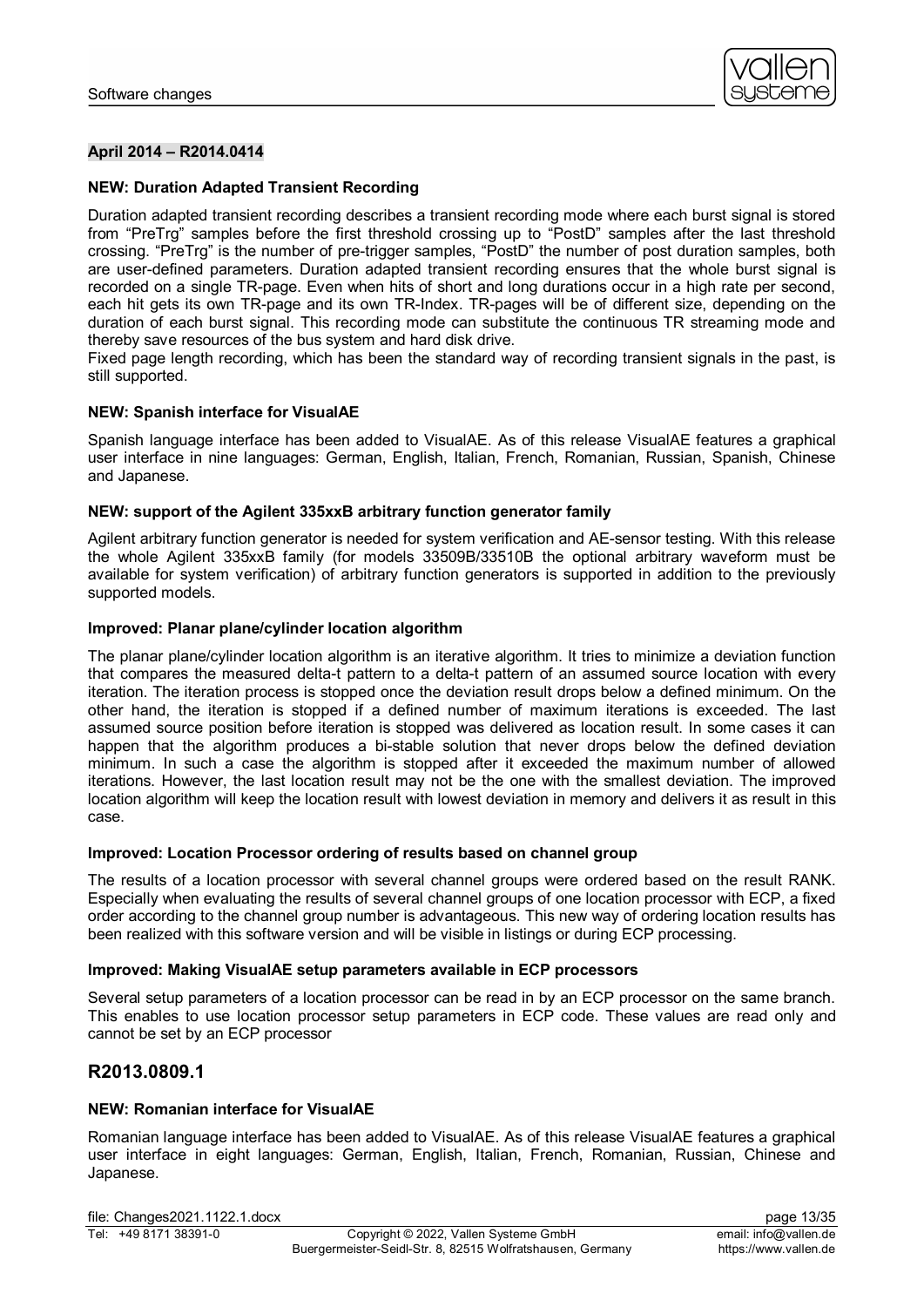

# **April 2014 – R2014.0414**

# **NEW: Duration Adapted Transient Recording**

Duration adapted transient recording describes a transient recording mode where each burst signal is stored from "PreTrg" samples before the first threshold crossing up to "PostD" samples after the last threshold crossing. "PreTrg" is the number of pre-trigger samples, "PostD" the number of post duration samples, both are user-defined parameters. Duration adapted transient recording ensures that the whole burst signal is recorded on a single TR-page. Even when hits of short and long durations occur in a high rate per second, each hit gets its own TR-page and its own TR-Index. TR-pages will be of different size, depending on the duration of each burst signal. This recording mode can substitute the continuous TR streaming mode and thereby save resources of the bus system and hard disk drive.

Fixed page length recording, which has been the standard way of recording transient signals in the past, is still supported.

#### **NEW: Spanish interface for VisualAE**

Spanish language interface has been added to VisualAE. As of this release VisualAE features a graphical user interface in nine languages: German, English, Italian, French, Romanian, Russian, Spanish, Chinese and Japanese.

#### **NEW: support of the Agilent 335xxB arbitrary function generator family**

Agilent arbitrary function generator is needed for system verification and AE-sensor testing. With this release the whole Agilent 335xxB family (for models 33509B/33510B the optional arbitrary waveform must be available for system verification) of arbitrary function generators is supported in addition to the previously supported models.

#### **Improved: Planar plane/cylinder location algorithm**

The planar plane/cylinder location algorithm is an iterative algorithm. It tries to minimize a deviation function that compares the measured delta-t pattern to a delta-t pattern of an assumed source location with every iteration. The iteration process is stopped once the deviation result drops below a defined minimum. On the other hand, the iteration is stopped if a defined number of maximum iterations is exceeded. The last assumed source position before iteration is stopped was delivered as location result. In some cases it can happen that the algorithm produces a bi-stable solution that never drops below the defined deviation minimum. In such a case the algorithm is stopped after it exceeded the maximum number of allowed iterations. However, the last location result may not be the one with the smallest deviation. The improved location algorithm will keep the location result with lowest deviation in memory and delivers it as result in this case.

#### **Improved: Location Processor ordering of results based on channel group**

The results of a location processor with several channel groups were ordered based on the result RANK. Especially when evaluating the results of several channel groups of one location processor with ECP, a fixed order according to the channel group number is advantageous. This new way of ordering location results has been realized with this software version and will be visible in listings or during ECP processing.

# **Improved: Making VisualAE setup parameters available in ECP processors**

Several setup parameters of a location processor can be read in by an ECP processor on the same branch. This enables to use location processor setup parameters in ECP code. These values are read only and cannot be set by an ECP processor

# **R2013.0809.1**

#### **NEW: Romanian interface for VisualAE**

Romanian language interface has been added to VisualAE. As of this release VisualAE features a graphical user interface in eight languages: German, English, Italian, French, Romanian, Russian, Chinese and Japanese.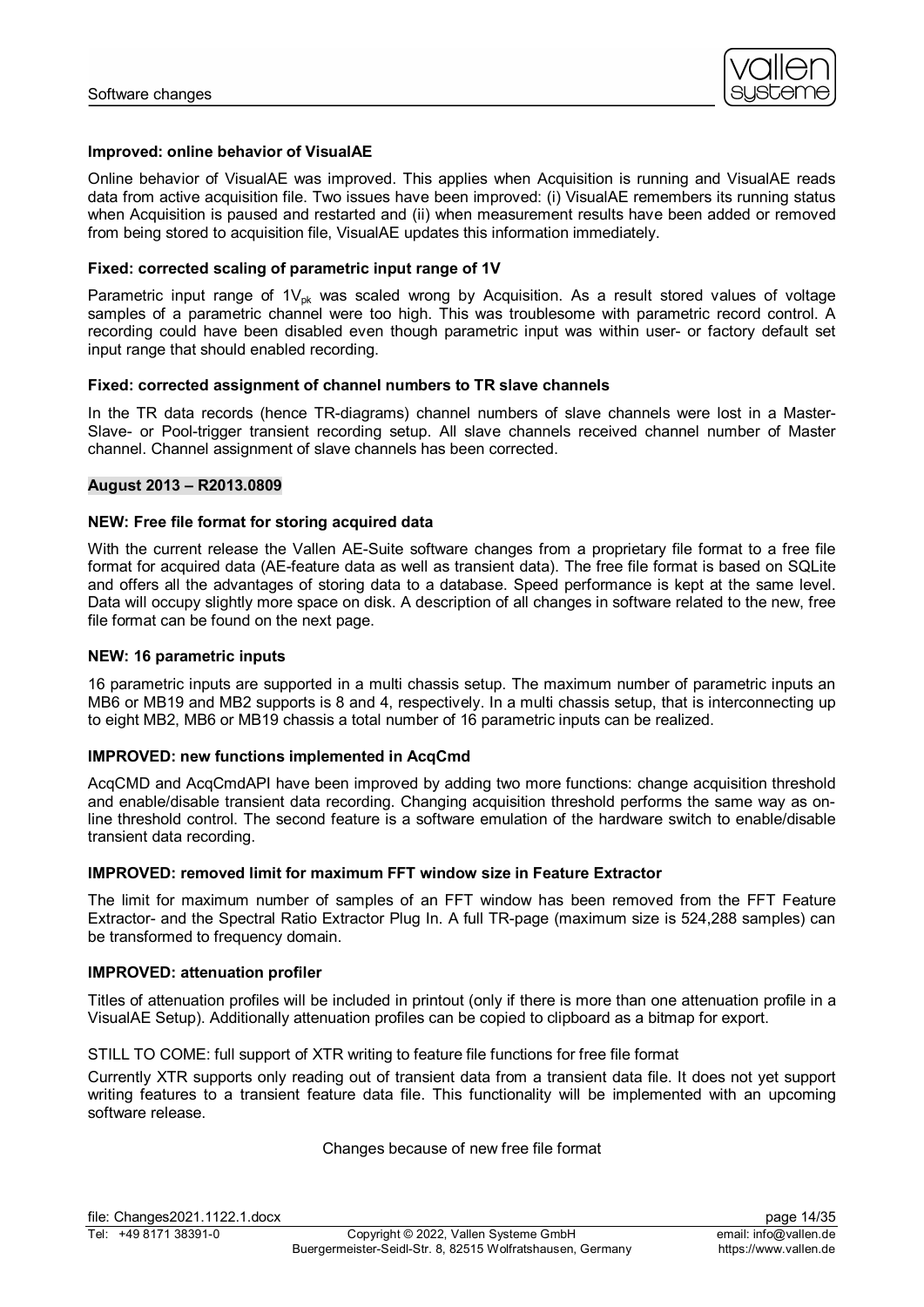

### **Improved: online behavior of VisualAE**

Online behavior of VisualAE was improved. This applies when Acquisition is running and VisualAE reads data from active acquisition file. Two issues have been improved: (i) VisualAE remembers its running status when Acquisition is paused and restarted and (ii) when measurement results have been added or removed from being stored to acquisition file, VisualAE updates this information immediately.

# **Fixed: corrected scaling of parametric input range of 1V**

Parametric input range of  $1V_{\text{ok}}$  was scaled wrong by Acquisition. As a result stored values of voltage samples of a parametric channel were too high. This was troublesome with parametric record control. A recording could have been disabled even though parametric input was within user- or factory default set input range that should enabled recording.

#### **Fixed: corrected assignment of channel numbers to TR slave channels**

In the TR data records (hence TR-diagrams) channel numbers of slave channels were lost in a Master-Slave- or Pool-trigger transient recording setup. All slave channels received channel number of Master channel. Channel assignment of slave channels has been corrected.

# **August 2013 – R2013.0809**

# **NEW: Free file format for storing acquired data**

With the current release the Vallen AE-Suite software changes from a proprietary file format to a free file format for acquired data (AE-feature data as well as transient data). The free file format is based on SQLite and offers all the advantages of storing data to a database. Speed performance is kept at the same level. Data will occupy slightly more space on disk. A description of all changes in software related to the new, free file format can be found on the next page.

#### **NEW: 16 parametric inputs**

16 parametric inputs are supported in a multi chassis setup. The maximum number of parametric inputs an MB6 or MB19 and MB2 supports is 8 and 4, respectively. In a multi chassis setup, that is interconnecting up to eight MB2, MB6 or MB19 chassis a total number of 16 parametric inputs can be realized.

#### **IMPROVED: new functions implemented in AcqCmd**

AcqCMD and AcqCmdAPI have been improved by adding two more functions: change acquisition threshold and enable/disable transient data recording. Changing acquisition threshold performs the same way as online threshold control. The second feature is a software emulation of the hardware switch to enable/disable transient data recording.

# **IMPROVED: removed limit for maximum FFT window size in Feature Extractor**

The limit for maximum number of samples of an FFT window has been removed from the FFT Feature Extractor- and the Spectral Ratio Extractor Plug In. A full TR-page (maximum size is 524,288 samples) can be transformed to frequency domain.

#### **IMPROVED: attenuation profiler**

Titles of attenuation profiles will be included in printout (only if there is more than one attenuation profile in a VisualAE Setup). Additionally attenuation profiles can be copied to clipboard as a bitmap for export.

#### STILL TO COME: full support of XTR writing to feature file functions for free file format

Currently XTR supports only reading out of transient data from a transient data file. It does not yet support writing features to a transient feature data file. This functionality will be implemented with an upcoming software release.

#### Changes because of new free file format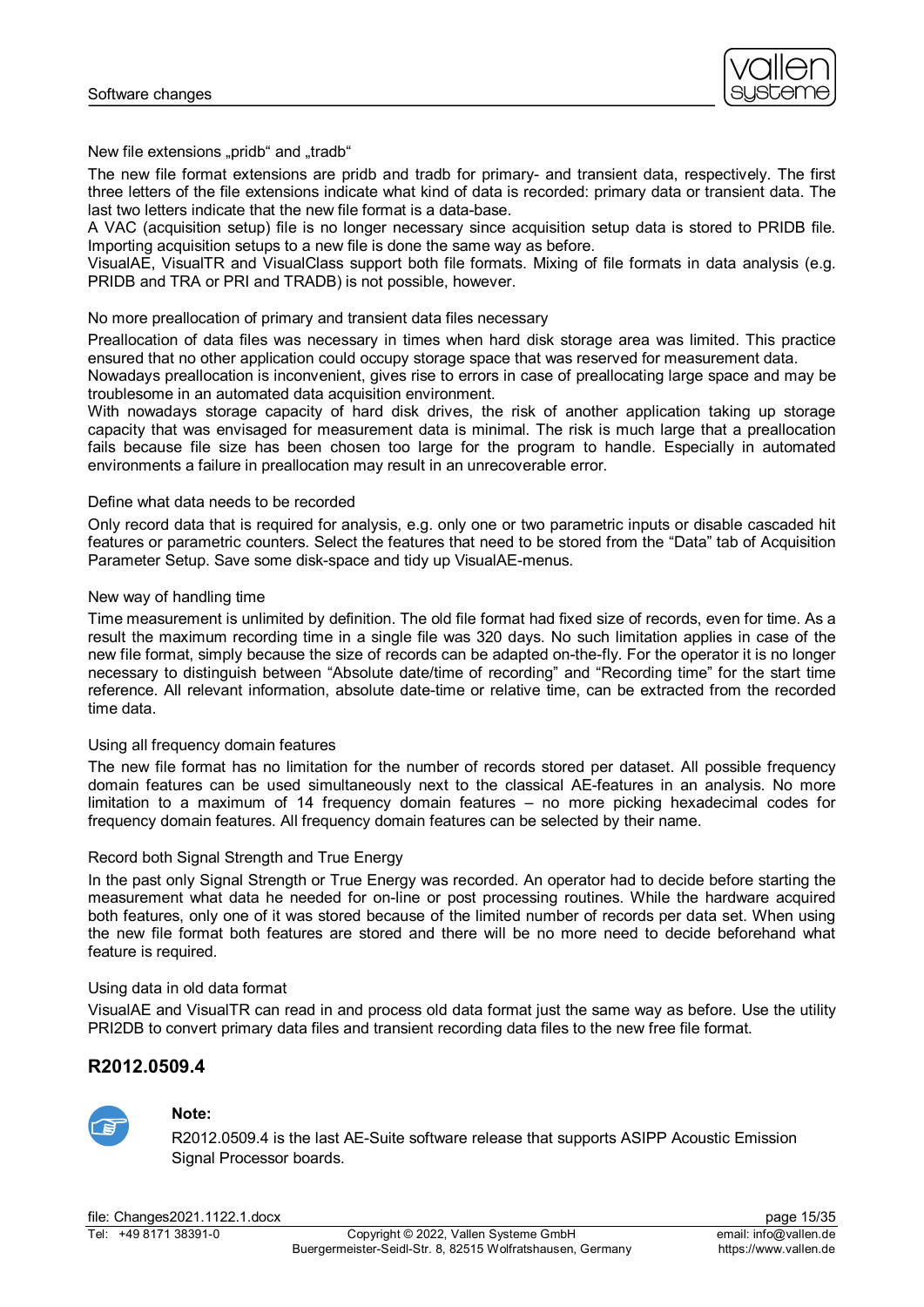

New file extensions "pridb" and "tradb"

The new file format extensions are pridb and tradb for primary- and transient data, respectively. The first three letters of the file extensions indicate what kind of data is recorded: primary data or transient data. The last two letters indicate that the new file format is a data-base.

A VAC (acquisition setup) file is no longer necessary since acquisition setup data is stored to PRIDB file. Importing acquisition setups to a new file is done the same way as before.

VisualAE, VisualTR and VisualClass support both file formats. Mixing of file formats in data analysis (e.g. PRIDB and TRA or PRI and TRADB) is not possible, however.

### No more preallocation of primary and transient data files necessary

Preallocation of data files was necessary in times when hard disk storage area was limited. This practice ensured that no other application could occupy storage space that was reserved for measurement data.

Nowadays preallocation is inconvenient, gives rise to errors in case of preallocating large space and may be troublesome in an automated data acquisition environment.

With nowadays storage capacity of hard disk drives, the risk of another application taking up storage capacity that was envisaged for measurement data is minimal. The risk is much large that a preallocation fails because file size has been chosen too large for the program to handle. Especially in automated environments a failure in preallocation may result in an unrecoverable error.

# Define what data needs to be recorded

Only record data that is required for analysis, e.g. only one or two parametric inputs or disable cascaded hit features or parametric counters. Select the features that need to be stored from the "Data" tab of Acquisition Parameter Setup. Save some disk-space and tidy up VisualAE-menus.

# New way of handling time

Time measurement is unlimited by definition. The old file format had fixed size of records, even for time. As a result the maximum recording time in a single file was 320 days. No such limitation applies in case of the new file format, simply because the size of records can be adapted on-the-fly. For the operator it is no longer necessary to distinguish between "Absolute date/time of recording" and "Recording time" for the start time reference. All relevant information, absolute date-time or relative time, can be extracted from the recorded time data.

# Using all frequency domain features

The new file format has no limitation for the number of records stored per dataset. All possible frequency domain features can be used simultaneously next to the classical AE-features in an analysis. No more limitation to a maximum of 14 frequency domain features – no more picking hexadecimal codes for frequency domain features. All frequency domain features can be selected by their name.

#### Record both Signal Strength and True Energy

In the past only Signal Strength or True Energy was recorded. An operator had to decide before starting the measurement what data he needed for on-line or post processing routines. While the hardware acquired both features, only one of it was stored because of the limited number of records per data set. When using the new file format both features are stored and there will be no more need to decide beforehand what feature is required.

#### Using data in old data format

VisualAE and VisualTR can read in and process old data format just the same way as before. Use the utility PRI2DB to convert primary data files and transient recording data files to the new free file format.

# **R2012.0509.4**



# **Note:**

R2012.0509.4 is the last AE-Suite software release that supports ASIPP Acoustic Emission Signal Processor boards.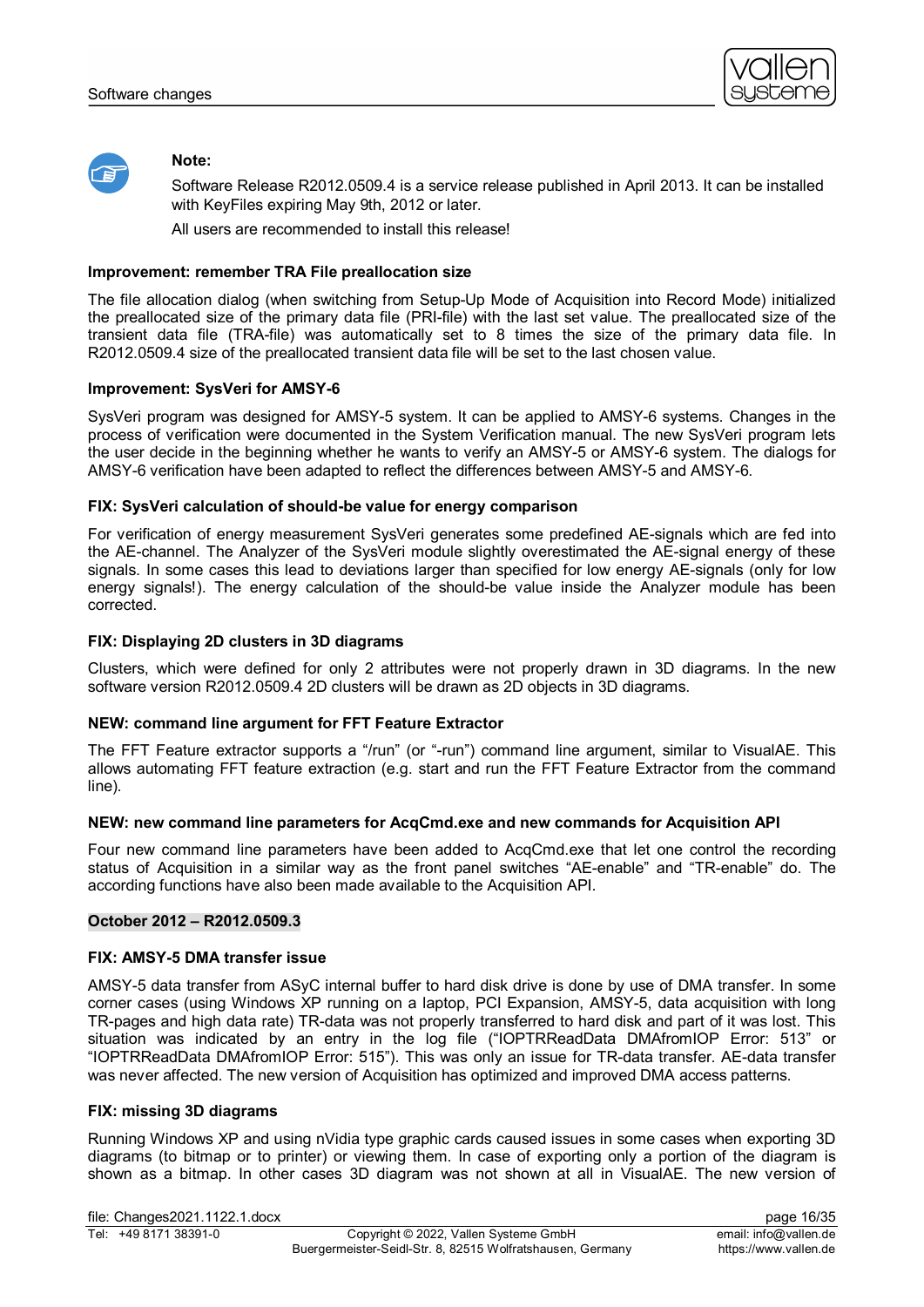



### **Note:**

Software Release R2012.0509.4 is a service release published in April 2013. It can be installed with KeyFiles expiring May 9th, 2012 or later.

All users are recommended to install this release!

### **Improvement: remember TRA File preallocation size**

The file allocation dialog (when switching from Setup-Up Mode of Acquisition into Record Mode) initialized the preallocated size of the primary data file (PRI-file) with the last set value. The preallocated size of the transient data file (TRA-file) was automatically set to 8 times the size of the primary data file. In R2012.0509.4 size of the preallocated transient data file will be set to the last chosen value.

#### **Improvement: SysVeri for AMSY-6**

SysVeri program was designed for AMSY-5 system. It can be applied to AMSY-6 systems. Changes in the process of verification were documented in the System Verification manual. The new SysVeri program lets the user decide in the beginning whether he wants to verify an AMSY-5 or AMSY-6 system. The dialogs for AMSY-6 verification have been adapted to reflect the differences between AMSY-5 and AMSY-6.

# **FIX: SysVeri calculation of should-be value for energy comparison**

For verification of energy measurement SysVeri generates some predefined AE-signals which are fed into the AE-channel. The Analyzer of the SysVeri module slightly overestimated the AE-signal energy of these signals. In some cases this lead to deviations larger than specified for low energy AE-signals (only for low energy signals!). The energy calculation of the should-be value inside the Analyzer module has been corrected.

# **FIX: Displaying 2D clusters in 3D diagrams**

Clusters, which were defined for only 2 attributes were not properly drawn in 3D diagrams. In the new software version R2012.0509.4 2D clusters will be drawn as 2D objects in 3D diagrams.

# **NEW: command line argument for FFT Feature Extractor**

The FFT Feature extractor supports a "/run" (or "-run") command line argument, similar to VisualAE. This allows automating FFT feature extraction (e.g. start and run the FFT Feature Extractor from the command line).

#### **NEW: new command line parameters for AcqCmd.exe and new commands for Acquisition API**

Four new command line parameters have been added to AcqCmd.exe that let one control the recording status of Acquisition in a similar way as the front panel switches "AE-enable" and "TR-enable" do. The according functions have also been made available to the Acquisition API.

#### **October 2012 – R2012.0509.3**

#### **FIX: AMSY-5 DMA transfer issue**

AMSY-5 data transfer from ASyC internal buffer to hard disk drive is done by use of DMA transfer. In some corner cases (using Windows XP running on a laptop, PCI Expansion, AMSY-5, data acquisition with long TR-pages and high data rate) TR-data was not properly transferred to hard disk and part of it was lost. This situation was indicated by an entry in the log file ("IOPTRReadData DMAfromIOP Error: 513" or "IOPTRReadData DMAfromIOP Error: 515"). This was only an issue for TR-data transfer. AE-data transfer was never affected. The new version of Acquisition has optimized and improved DMA access patterns.

#### **FIX: missing 3D diagrams**

Running Windows XP and using nVidia type graphic cards caused issues in some cases when exporting 3D diagrams (to bitmap or to printer) or viewing them. In case of exporting only a portion of the diagram is shown as a bitmap. In other cases 3D diagram was not shown at all in VisualAE. The new version of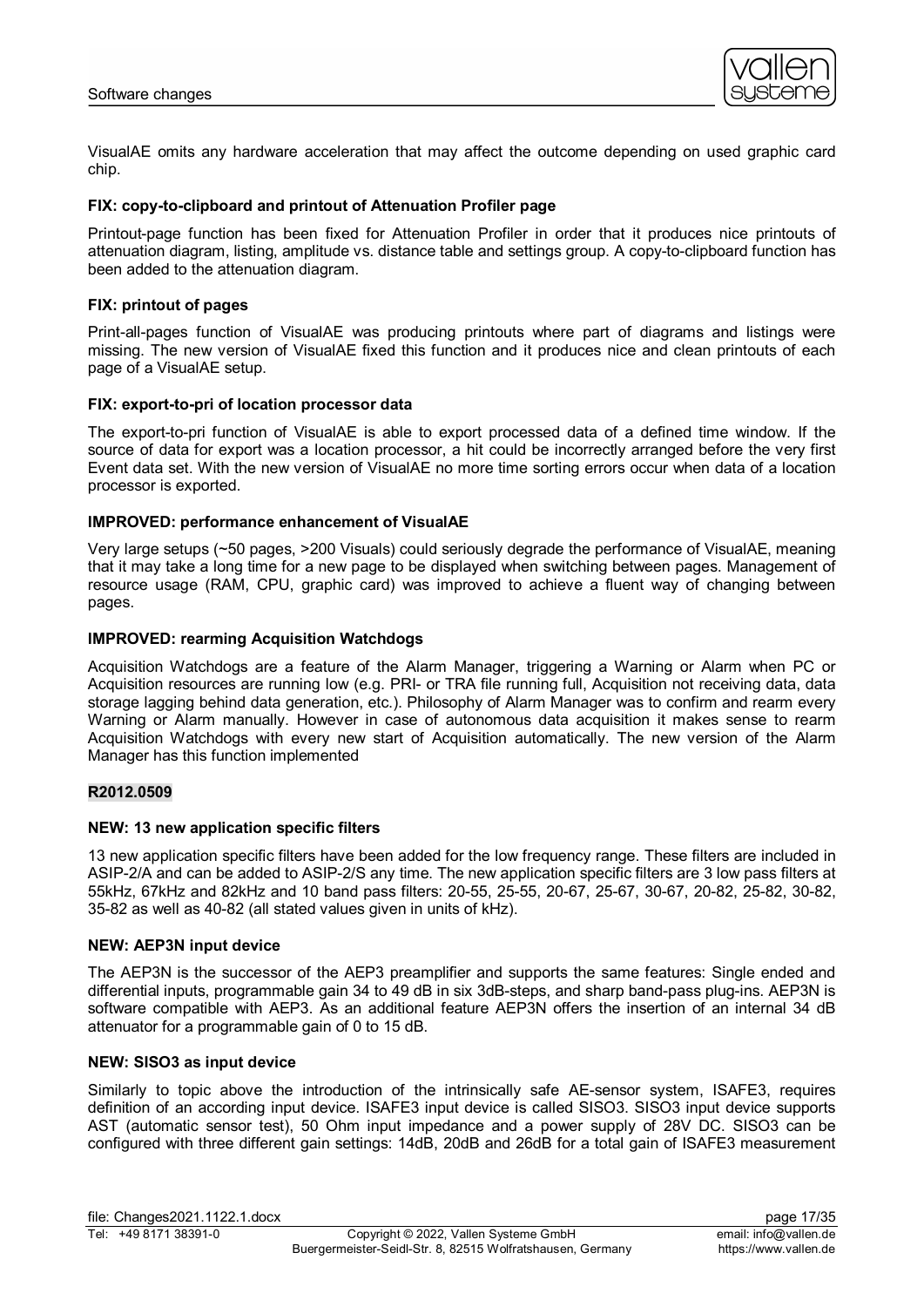

VisualAE omits any hardware acceleration that may affect the outcome depending on used graphic card chip.

#### **FIX: copy-to-clipboard and printout of Attenuation Profiler page**

Printout-page function has been fixed for Attenuation Profiler in order that it produces nice printouts of attenuation diagram, listing, amplitude vs. distance table and settings group. A copy-to-clipboard function has been added to the attenuation diagram.

#### **FIX: printout of pages**

Print-all-pages function of VisualAE was producing printouts where part of diagrams and listings were missing. The new version of VisualAE fixed this function and it produces nice and clean printouts of each page of a VisualAE setup.

#### **FIX: export-to-pri of location processor data**

The export-to-pri function of VisualAE is able to export processed data of a defined time window. If the source of data for export was a location processor, a hit could be incorrectly arranged before the very first Event data set. With the new version of VisualAE no more time sorting errors occur when data of a location processor is exported.

#### **IMPROVED: performance enhancement of VisualAE**

Very large setups (~50 pages, >200 Visuals) could seriously degrade the performance of VisualAE, meaning that it may take a long time for a new page to be displayed when switching between pages. Management of resource usage (RAM, CPU, graphic card) was improved to achieve a fluent way of changing between pages.

### **IMPROVED: rearming Acquisition Watchdogs**

Acquisition Watchdogs are a feature of the Alarm Manager, triggering a Warning or Alarm when PC or Acquisition resources are running low (e.g. PRI- or TRA file running full, Acquisition not receiving data, data storage lagging behind data generation, etc.). Philosophy of Alarm Manager was to confirm and rearm every Warning or Alarm manually. However in case of autonomous data acquisition it makes sense to rearm Acquisition Watchdogs with every new start of Acquisition automatically. The new version of the Alarm Manager has this function implemented

### **R2012.0509**

#### **NEW: 13 new application specific filters**

13 new application specific filters have been added for the low frequency range. These filters are included in ASIP-2/A and can be added to ASIP-2/S any time. The new application specific filters are 3 low pass filters at 55kHz, 67kHz and 82kHz and 10 band pass filters: 20-55, 25-55, 20-67, 25-67, 30-67, 20-82, 25-82, 30-82, 35-82 as well as 40-82 (all stated values given in units of kHz).

#### **NEW: AEP3N input device**

The AEP3N is the successor of the AEP3 preamplifier and supports the same features: Single ended and differential inputs, programmable gain 34 to 49 dB in six 3dB-steps, and sharp band-pass plug-ins. AEP3N is software compatible with AEP3. As an additional feature AEP3N offers the insertion of an internal 34 dB attenuator for a programmable gain of 0 to 15 dB.

# **NEW: SISO3 as input device**

Similarly to topic above the introduction of the intrinsically safe AE-sensor system, ISAFE3, requires definition of an according input device. ISAFE3 input device is called SISO3. SISO3 input device supports AST (automatic sensor test), 50 Ohm input impedance and a power supply of 28V DC. SISO3 can be configured with three different gain settings: 14dB, 20dB and 26dB for a total gain of ISAFE3 measurement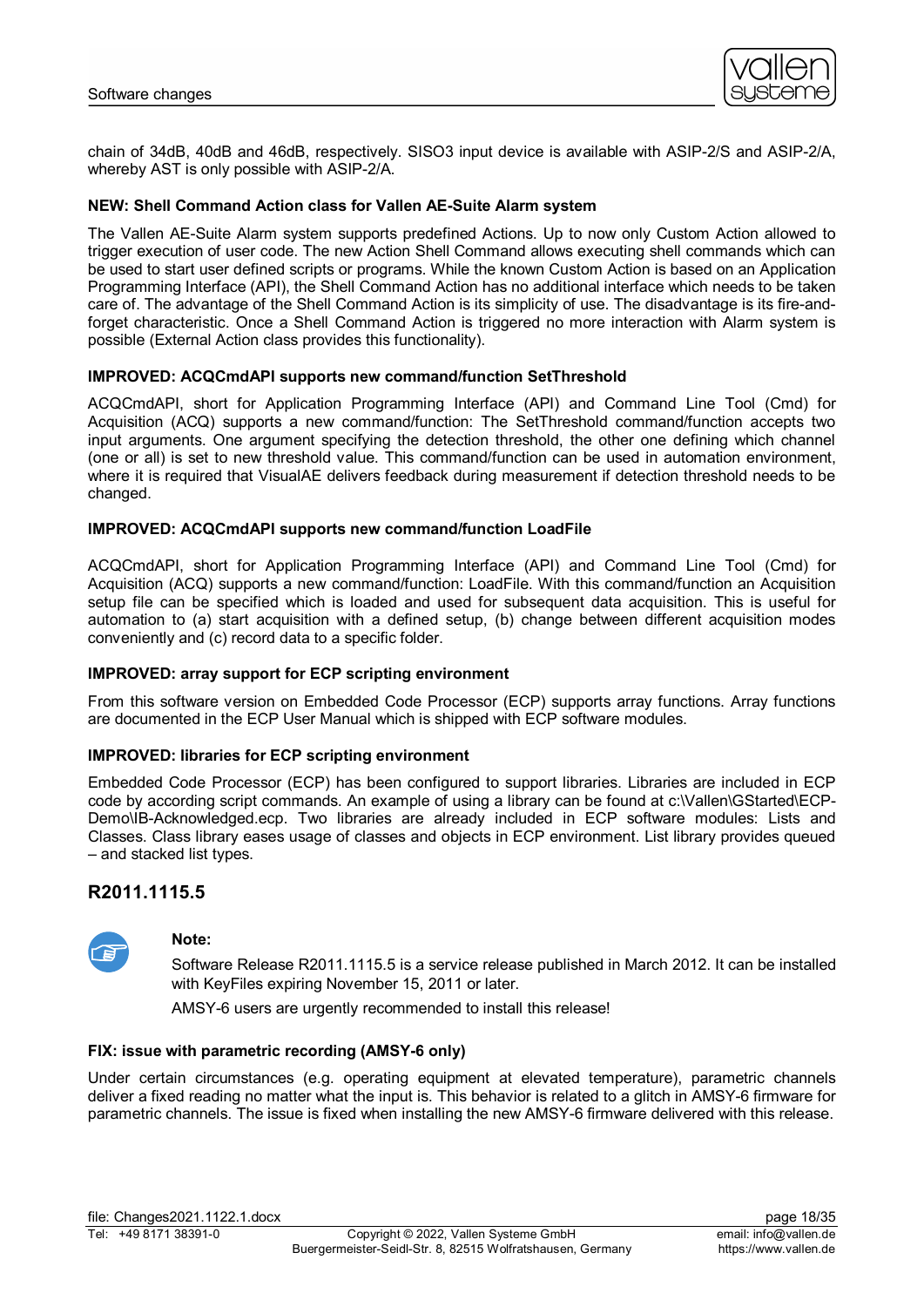

chain of 34dB, 40dB and 46dB, respectively. SISO3 input device is available with ASIP-2/S and ASIP-2/A, whereby AST is only possible with ASIP-2/A.

# **NEW: Shell Command Action class for Vallen AE-Suite Alarm system**

The Vallen AE-Suite Alarm system supports predefined Actions. Up to now only Custom Action allowed to trigger execution of user code. The new Action Shell Command allows executing shell commands which can be used to start user defined scripts or programs. While the known Custom Action is based on an Application Programming Interface (API), the Shell Command Action has no additional interface which needs to be taken care of. The advantage of the Shell Command Action is its simplicity of use. The disadvantage is its fire-andforget characteristic. Once a Shell Command Action is triggered no more interaction with Alarm system is possible (External Action class provides this functionality).

#### **IMPROVED: ACQCmdAPI supports new command/function SetThreshold**

ACQCmdAPI, short for Application Programming Interface (API) and Command Line Tool (Cmd) for Acquisition (ACQ) supports a new command/function: The SetThreshold command/function accepts two input arguments. One argument specifying the detection threshold, the other one defining which channel (one or all) is set to new threshold value. This command/function can be used in automation environment, where it is required that VisualAE delivers feedback during measurement if detection threshold needs to be changed.

# **IMPROVED: ACQCmdAPI supports new command/function LoadFile**

ACQCmdAPI, short for Application Programming Interface (API) and Command Line Tool (Cmd) for Acquisition (ACQ) supports a new command/function: LoadFile. With this command/function an Acquisition setup file can be specified which is loaded and used for subsequent data acquisition. This is useful for automation to (a) start acquisition with a defined setup, (b) change between different acquisition modes conveniently and (c) record data to a specific folder.

#### **IMPROVED: array support for ECP scripting environment**

From this software version on Embedded Code Processor (ECP) supports array functions. Array functions are documented in the ECP User Manual which is shipped with ECP software modules.

#### **IMPROVED: libraries for ECP scripting environment**

Embedded Code Processor (ECP) has been configured to support libraries. Libraries are included in ECP code by according script commands. An example of using a library can be found at c:\Vallen\GStarted\ECP-Demo\IB-Acknowledged.ecp. Two libraries are already included in ECP software modules: Lists and Classes. Class library eases usage of classes and objects in ECP environment. List library provides queued – and stacked list types.

# **R2011.1115.5**



#### **Note:**

Software Release R2011.1115.5 is a service release published in March 2012. It can be installed with KeyFiles expiring November 15, 2011 or later.

AMSY-6 users are urgently recommended to install this release!

#### **FIX: issue with parametric recording (AMSY-6 only)**

Under certain circumstances (e.g. operating equipment at elevated temperature), parametric channels deliver a fixed reading no matter what the input is. This behavior is related to a glitch in AMSY-6 firmware for parametric channels. The issue is fixed when installing the new AMSY-6 firmware delivered with this release.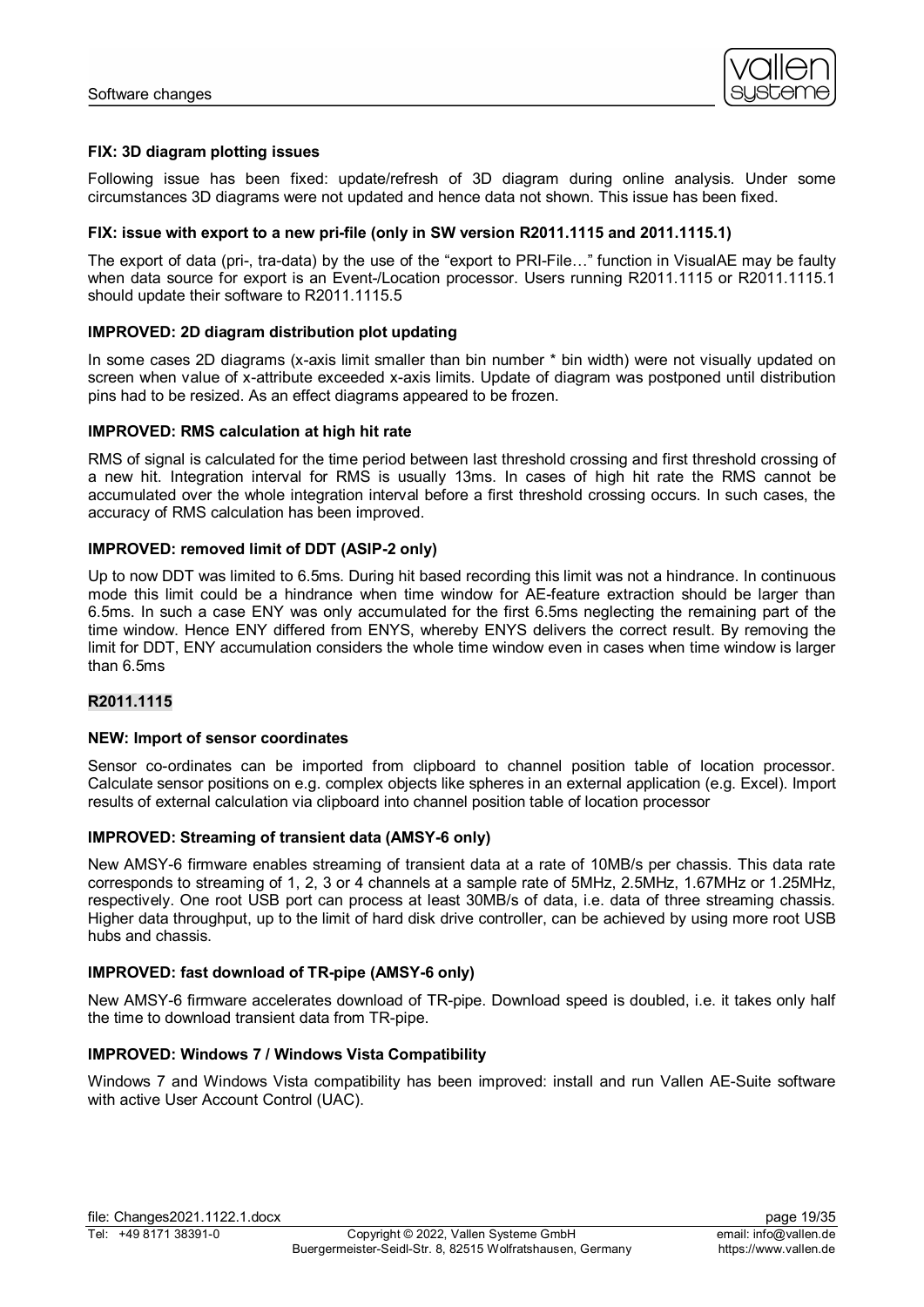

# **FIX: 3D diagram plotting issues**

Following issue has been fixed: update/refresh of 3D diagram during online analysis. Under some circumstances 3D diagrams were not updated and hence data not shown. This issue has been fixed.

#### **FIX: issue with export to a new pri-file (only in SW version R2011.1115 and 2011.1115.1)**

The export of data (pri-, tra-data) by the use of the "export to PRI-File…" function in VisualAE may be faulty when data source for export is an Event-/Location processor. Users running R2011.1115 or R2011.1115.1 should update their software to R2011.1115.5

# **IMPROVED: 2D diagram distribution plot updating**

In some cases 2D diagrams (x-axis limit smaller than bin number \* bin width) were not visually updated on screen when value of x-attribute exceeded x-axis limits. Update of diagram was postponed until distribution pins had to be resized. As an effect diagrams appeared to be frozen.

# **IMPROVED: RMS calculation at high hit rate**

RMS of signal is calculated for the time period between last threshold crossing and first threshold crossing of a new hit. Integration interval for RMS is usually 13ms. In cases of high hit rate the RMS cannot be accumulated over the whole integration interval before a first threshold crossing occurs. In such cases, the accuracy of RMS calculation has been improved.

# **IMPROVED: removed limit of DDT (ASIP-2 only)**

Up to now DDT was limited to 6.5ms. During hit based recording this limit was not a hindrance. In continuous mode this limit could be a hindrance when time window for AE-feature extraction should be larger than 6.5ms. In such a case ENY was only accumulated for the first 6.5ms neglecting the remaining part of the time window. Hence ENY differed from ENYS, whereby ENYS delivers the correct result. By removing the limit for DDT, ENY accumulation considers the whole time window even in cases when time window is larger than 6.5ms

# **R2011.1115**

#### **NEW: Import of sensor coordinates**

Sensor co-ordinates can be imported from clipboard to channel position table of location processor. Calculate sensor positions on e.g. complex objects like spheres in an external application (e.g. Excel). Import results of external calculation via clipboard into channel position table of location processor

# **IMPROVED: Streaming of transient data (AMSY-6 only)**

New AMSY-6 firmware enables streaming of transient data at a rate of 10MB/s per chassis. This data rate corresponds to streaming of 1, 2, 3 or 4 channels at a sample rate of 5MHz, 2.5MHz, 1.67MHz or 1.25MHz, respectively. One root USB port can process at least 30MB/s of data, i.e. data of three streaming chassis. Higher data throughput, up to the limit of hard disk drive controller, can be achieved by using more root USB hubs and chassis.

# **IMPROVED: fast download of TR-pipe (AMSY-6 only)**

New AMSY-6 firmware accelerates download of TR-pipe. Download speed is doubled, i.e. it takes only half the time to download transient data from TR-pipe.

#### **IMPROVED: Windows 7 / Windows Vista Compatibility**

Windows 7 and Windows Vista compatibility has been improved: install and run Vallen AE-Suite software with active User Account Control (UAC).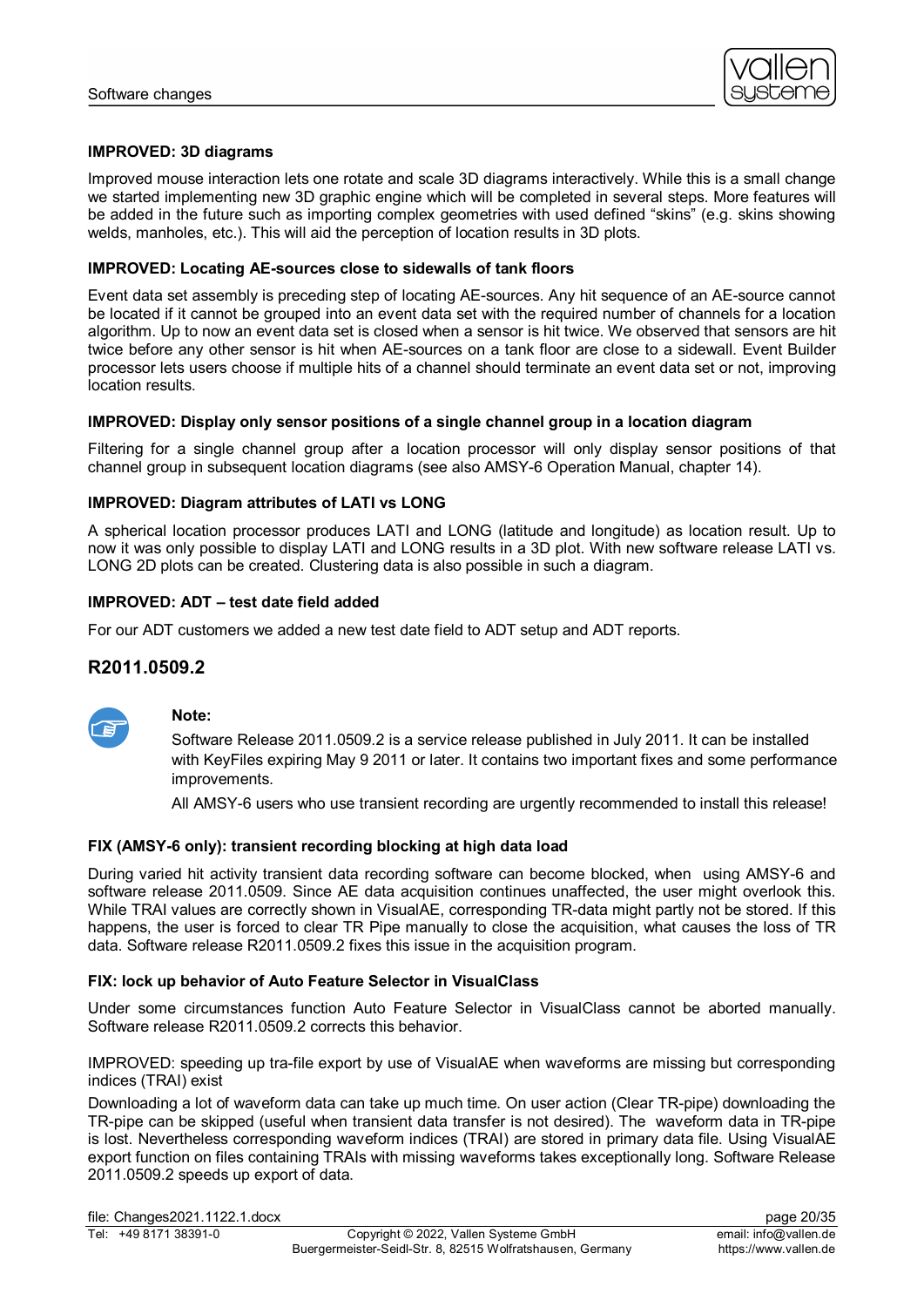

# **IMPROVED: 3D diagrams**

Improved mouse interaction lets one rotate and scale 3D diagrams interactively. While this is a small change we started implementing new 3D graphic engine which will be completed in several steps. More features will be added in the future such as importing complex geometries with used defined "skins" (e.g. skins showing welds, manholes, etc.). This will aid the perception of location results in 3D plots.

### **IMPROVED: Locating AE-sources close to sidewalls of tank floors**

Event data set assembly is preceding step of locating AE-sources. Any hit sequence of an AE-source cannot be located if it cannot be grouped into an event data set with the required number of channels for a location algorithm. Up to now an event data set is closed when a sensor is hit twice. We observed that sensors are hit twice before any other sensor is hit when AE-sources on a tank floor are close to a sidewall. Event Builder processor lets users choose if multiple hits of a channel should terminate an event data set or not, improving location results.

#### **IMPROVED: Display only sensor positions of a single channel group in a location diagram**

Filtering for a single channel group after a location processor will only display sensor positions of that channel group in subsequent location diagrams (see also AMSY-6 Operation Manual, chapter 14).

# **IMPROVED: Diagram attributes of LATI vs LONG**

A spherical location processor produces LATI and LONG (latitude and longitude) as location result. Up to now it was only possible to display LATI and LONG results in a 3D plot. With new software release LATI vs. LONG 2D plots can be created. Clustering data is also possible in such a diagram.

# **IMPROVED: ADT – test date field added**

For our ADT customers we added a new test date field to ADT setup and ADT reports.

# **R2011.0509.2**



#### **Note:**

Software Release 2011.0509.2 is a service release published in July 2011. It can be installed with KeyFiles expiring May 9 2011 or later. It contains two important fixes and some performance improvements.

All AMSY-6 users who use transient recording are urgently recommended to install this release!

#### **FIX (AMSY-6 only): transient recording blocking at high data load**

During varied hit activity transient data recording software can become blocked, when using AMSY-6 and software release 2011.0509. Since AE data acquisition continues unaffected, the user might overlook this. While TRAI values are correctly shown in VisualAE, corresponding TR-data might partly not be stored. If this happens, the user is forced to clear TR Pipe manually to close the acquisition, what causes the loss of TR data. Software release R2011.0509.2 fixes this issue in the acquisition program.

### **FIX: lock up behavior of Auto Feature Selector in VisualClass**

Under some circumstances function Auto Feature Selector in VisualClass cannot be aborted manually. Software release R2011.0509.2 corrects this behavior.

IMPROVED: speeding up tra-file export by use of VisualAE when waveforms are missing but corresponding indices (TRAI) exist

Downloading a lot of waveform data can take up much time. On user action (Clear TR-pipe) downloading the TR-pipe can be skipped (useful when transient data transfer is not desired). The waveform data in TR-pipe is lost. Nevertheless corresponding waveform indices (TRAI) are stored in primary data file. Using VisualAE export function on files containing TRAIs with missing waveforms takes exceptionally long. Software Release 2011.0509.2 speeds up export of data.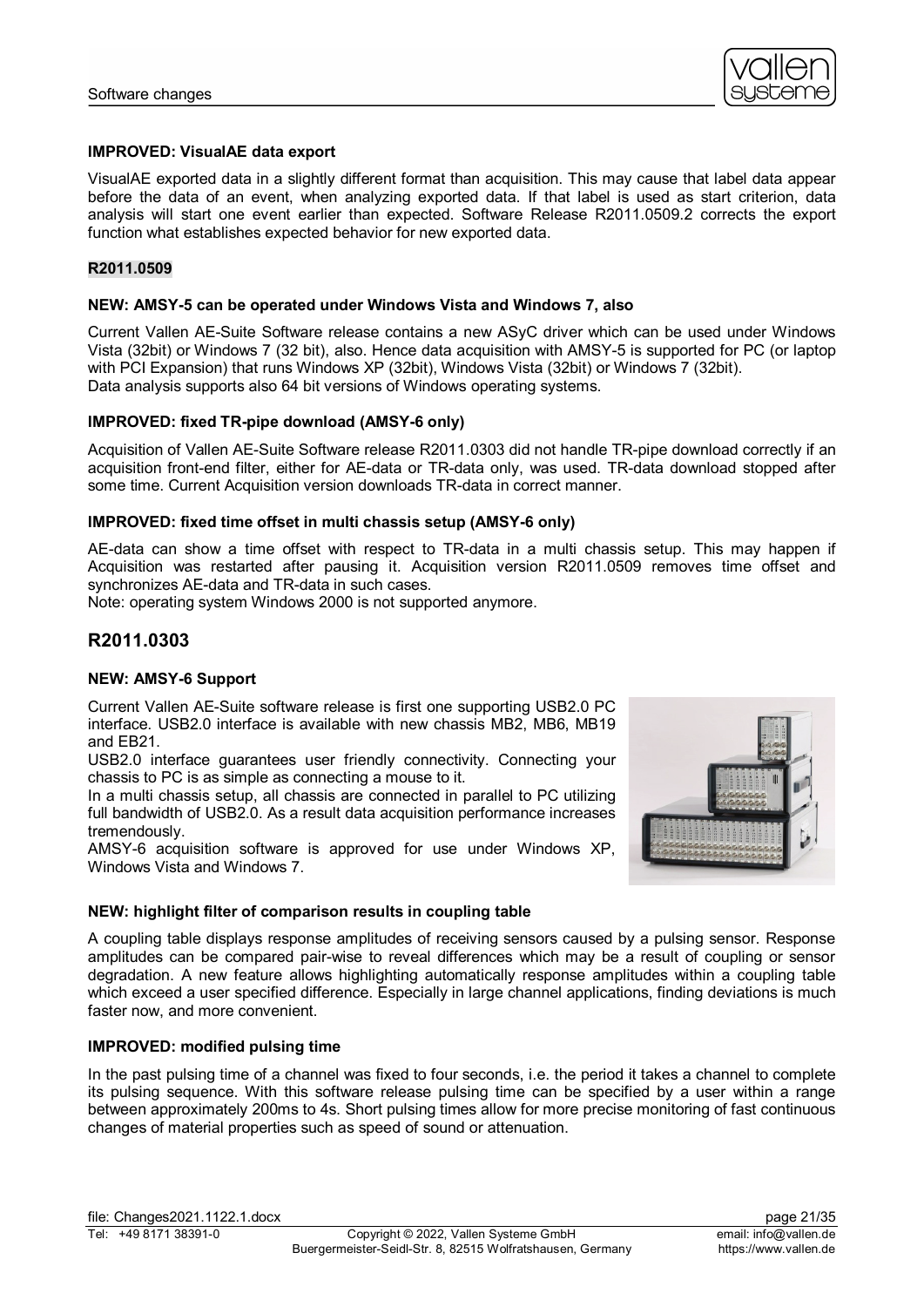

# **IMPROVED: VisualAE data export**

VisualAE exported data in a slightly different format than acquisition. This may cause that label data appear before the data of an event, when analyzing exported data. If that label is used as start criterion, data analysis will start one event earlier than expected. Software Release R2011.0509.2 corrects the export function what establishes expected behavior for new exported data.

### **R2011.0509**

#### **NEW: AMSY-5 can be operated under Windows Vista and Windows 7, also**

Current Vallen AE-Suite Software release contains a new ASyC driver which can be used under Windows Vista (32bit) or Windows 7 (32 bit), also. Hence data acquisition with AMSY-5 is supported for PC (or laptop with PCI Expansion) that runs Windows XP (32bit), Windows Vista (32bit) or Windows 7 (32bit). Data analysis supports also 64 bit versions of Windows operating systems.

# **IMPROVED: fixed TR-pipe download (AMSY-6 only)**

Acquisition of Vallen AE-Suite Software release R2011.0303 did not handle TR-pipe download correctly if an acquisition front-end filter, either for AE-data or TR-data only, was used. TR-data download stopped after some time. Current Acquisition version downloads TR-data in correct manner.

# **IMPROVED: fixed time offset in multi chassis setup (AMSY-6 only)**

AE-data can show a time offset with respect to TR-data in a multi chassis setup. This may happen if Acquisition was restarted after pausing it. Acquisition version R2011.0509 removes time offset and synchronizes AE-data and TR-data in such cases.

Note: operating system Windows 2000 is not supported anymore.

# **R2011.0303**

#### **NEW: AMSY-6 Support**

Current Vallen AE-Suite software release is first one supporting USB2.0 PC interface. USB2.0 interface is available with new chassis MB2, MB6, MB19 and EB21.

USB2.0 interface guarantees user friendly connectivity. Connecting your chassis to PC is as simple as connecting a mouse to it.

In a multi chassis setup, all chassis are connected in parallel to PC utilizing full bandwidth of USB2.0. As a result data acquisition performance increases tremendously.

AMSY-6 acquisition software is approved for use under Windows XP, Windows Vista and Windows 7.



# **NEW: highlight filter of comparison results in coupling table**

A coupling table displays response amplitudes of receiving sensors caused by a pulsing sensor. Response amplitudes can be compared pair-wise to reveal differences which may be a result of coupling or sensor degradation. A new feature allows highlighting automatically response amplitudes within a coupling table which exceed a user specified difference. Especially in large channel applications, finding deviations is much faster now, and more convenient.

# **IMPROVED: modified pulsing time**

In the past pulsing time of a channel was fixed to four seconds, i.e. the period it takes a channel to complete its pulsing sequence. With this software release pulsing time can be specified by a user within a range between approximately 200ms to 4s. Short pulsing times allow for more precise monitoring of fast continuous changes of material properties such as speed of sound or attenuation.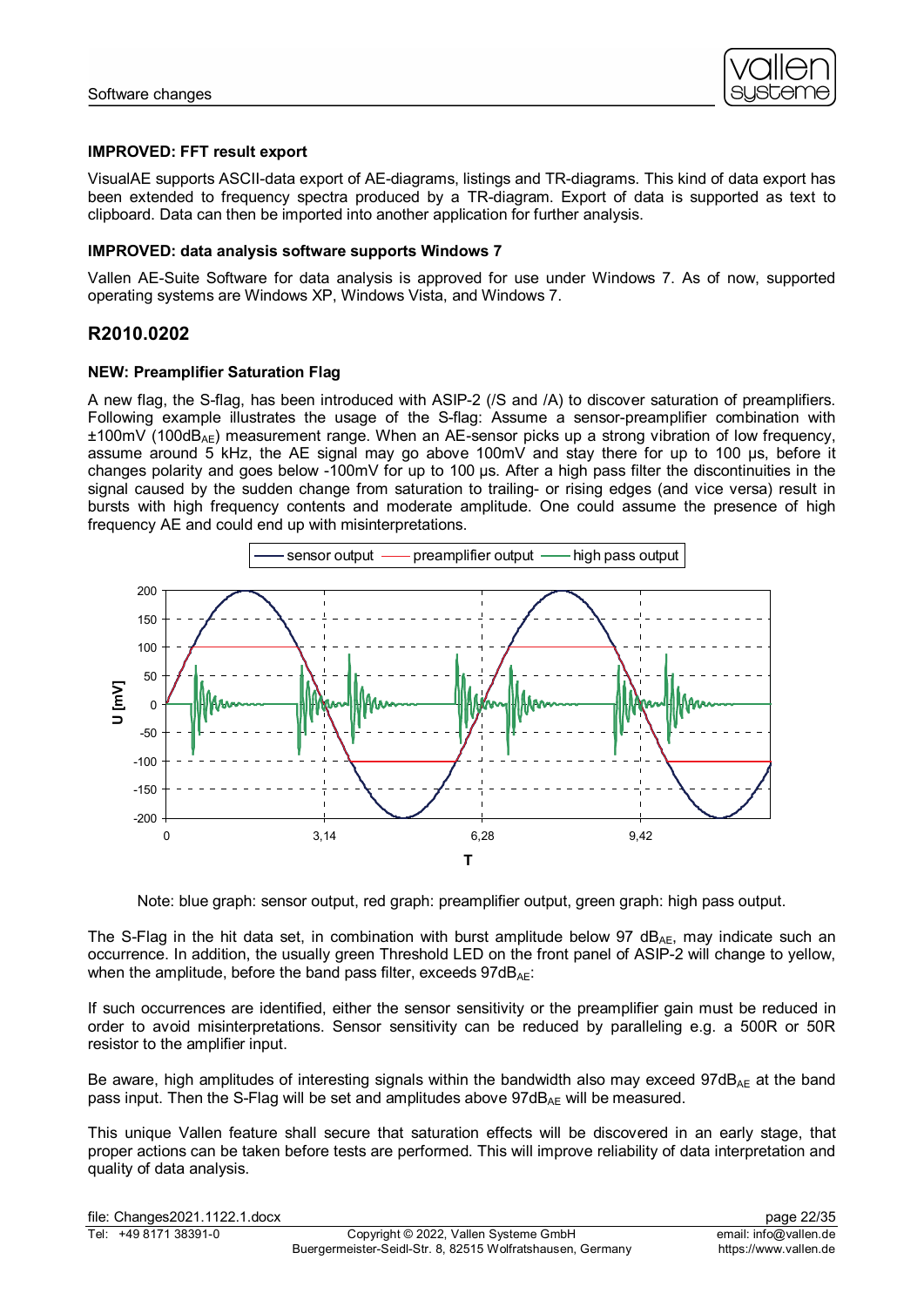

# **IMPROVED: FFT result export**

VisualAE supports ASCII-data export of AE-diagrams, listings and TR-diagrams. This kind of data export has been extended to frequency spectra produced by a TR-diagram. Export of data is supported as text to clipboard. Data can then be imported into another application for further analysis.

### **IMPROVED: data analysis software supports Windows 7**

Vallen AE-Suite Software for data analysis is approved for use under Windows 7. As of now, supported operating systems are Windows XP, Windows Vista, and Windows 7.

# **R2010.0202**

# **NEW: Preamplifier Saturation Flag**

A new flag, the S-flag, has been introduced with ASIP-2 (/S and /A) to discover saturation of preamplifiers. Following example illustrates the usage of the S-flag: Assume a sensor-preamplifier combination with  $±100mV$  (100dB<sub>AE</sub>) measurement range. When an AE-sensor picks up a strong vibration of low frequency. assume around  $5$  kHz, the AE signal may go above 100mV and stay there for up to 100 µs, before it changes polarity and goes below -100mV for up to 100 µs. After a high pass filter the discontinuities in the signal caused by the sudden change from saturation to trailing- or rising edges (and vice versa) result in bursts with high frequency contents and moderate amplitude. One could assume the presence of high frequency AE and could end up with misinterpretations.



Note: blue graph: sensor output, red graph: preamplifier output, green graph: high pass output.

The S-Flag in the hit data set, in combination with burst amplitude below 97  $dB_{AE}$ , may indicate such an occurrence. In addition, the usually green Threshold LED on the front panel of ASIP-2 will change to yellow, when the amplitude, before the band pass filter, exceeds  $97dB_{AF}$ :

If such occurrences are identified, either the sensor sensitivity or the preamplifier gain must be reduced in order to avoid misinterpretations. Sensor sensitivity can be reduced by paralleling e.g. a 500R or 50R resistor to the amplifier input.

Be aware, high amplitudes of interesting signals within the bandwidth also may exceed 97dB<sub>AE</sub> at the band pass input. Then the S-Flag will be set and amplitudes above  $97dB_{AF}$  will be measured.

This unique Vallen feature shall secure that saturation effects will be discovered in an early stage, that proper actions can be taken before tests are performed. This will improve reliability of data interpretation and quality of data analysis.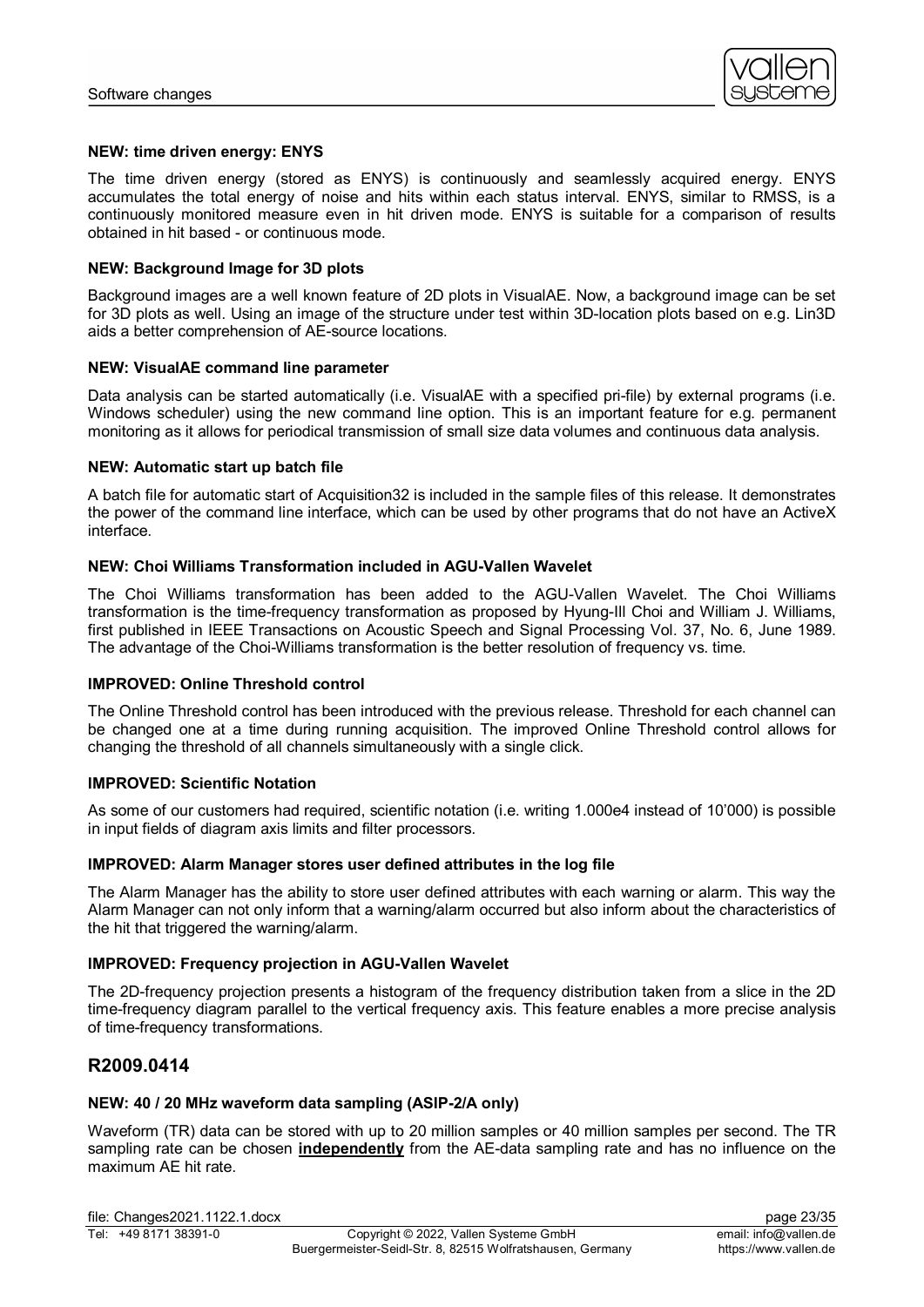

#### **NEW: time driven energy: ENYS**

The time driven energy (stored as ENYS) is continuously and seamlessly acquired energy. ENYS accumulates the total energy of noise and hits within each status interval. ENYS, similar to RMSS, is a continuously monitored measure even in hit driven mode. ENYS is suitable for a comparison of results obtained in hit based - or continuous mode.

#### **NEW: Background Image for 3D plots**

Background images are a well known feature of 2D plots in VisualAE. Now, a background image can be set for 3D plots as well. Using an image of the structure under test within 3D-location plots based on e.g. Lin3D aids a better comprehension of AE-source locations.

#### **NEW: VisualAE command line parameter**

Data analysis can be started automatically (i.e. VisualAE with a specified pri-file) by external programs (i.e. Windows scheduler) using the new command line option. This is an important feature for e.g. permanent monitoring as it allows for periodical transmission of small size data volumes and continuous data analysis.

#### **NEW: Automatic start up batch file**

A batch file for automatic start of Acquisition32 is included in the sample files of this release. It demonstrates the power of the command line interface, which can be used by other programs that do not have an ActiveX interface.

#### **NEW: Choi Williams Transformation included in AGU-Vallen Wavelet**

The Choi Williams transformation has been added to the AGU-Vallen Wavelet. The Choi Williams transformation is the time-frequency transformation as proposed by Hyung-Ill Choi and William J. Williams, first published in IEEE Transactions on Acoustic Speech and Signal Processing Vol. 37, No. 6, June 1989. The advantage of the Choi-Williams transformation is the better resolution of frequency vs. time.

#### **IMPROVED: Online Threshold control**

The Online Threshold control has been introduced with the previous release. Threshold for each channel can be changed one at a time during running acquisition. The improved Online Threshold control allows for changing the threshold of all channels simultaneously with a single click.

#### **IMPROVED: Scientific Notation**

As some of our customers had required, scientific notation (i.e. writing 1.000e4 instead of 10'000) is possible in input fields of diagram axis limits and filter processors.

#### **IMPROVED: Alarm Manager stores user defined attributes in the log file**

The Alarm Manager has the ability to store user defined attributes with each warning or alarm. This way the Alarm Manager can not only inform that a warning/alarm occurred but also inform about the characteristics of the hit that triggered the warning/alarm.

#### **IMPROVED: Frequency projection in AGU-Vallen Wavelet**

The 2D-frequency projection presents a histogram of the frequency distribution taken from a slice in the 2D time-frequency diagram parallel to the vertical frequency axis. This feature enables a more precise analysis of time-frequency transformations.

# **R2009.0414**

#### **NEW: 40 / 20 MHz waveform data sampling (ASIP-2/A only)**

Waveform (TR) data can be stored with up to 20 million samples or 40 million samples per second. The TR sampling rate can be chosen **independently** from the AE-data sampling rate and has no influence on the maximum AE hit rate.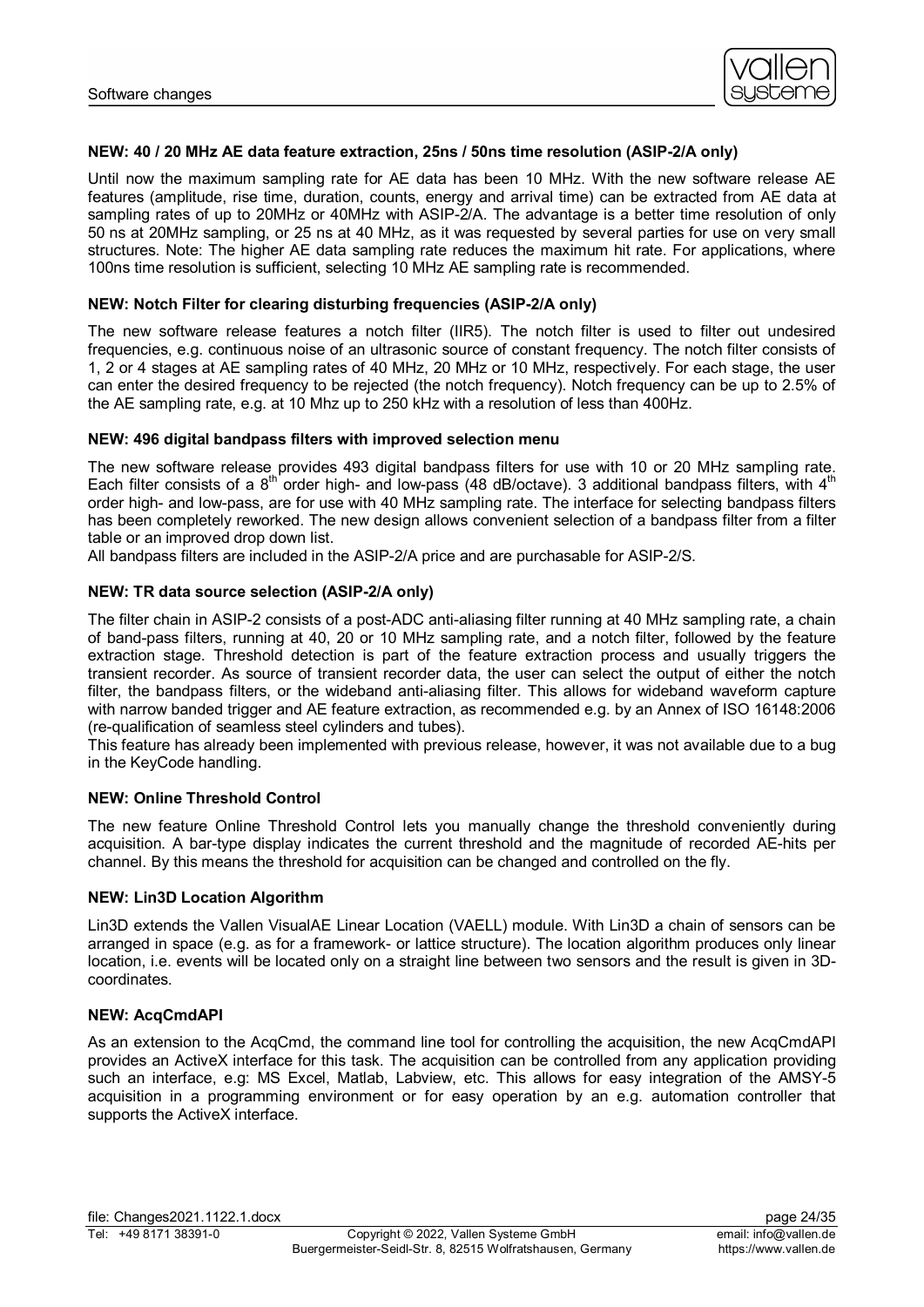

#### **NEW: 40 / 20 MHz AE data feature extraction, 25ns / 50ns time resolution (ASIP-2/A only)**

Until now the maximum sampling rate for AE data has been 10 MHz. With the new software release AE features (amplitude, rise time, duration, counts, energy and arrival time) can be extracted from AE data at sampling rates of up to 20MHz or 40MHz with ASIP-2/A. The advantage is a better time resolution of only 50 ns at 20MHz sampling, or 25 ns at 40 MHz, as it was requested by several parties for use on very small structures. Note: The higher AE data sampling rate reduces the maximum hit rate. For applications, where 100ns time resolution is sufficient, selecting 10 MHz AE sampling rate is recommended.

#### **NEW: Notch Filter for clearing disturbing frequencies (ASIP-2/A only)**

The new software release features a notch filter (IIR5). The notch filter is used to filter out undesired frequencies, e.g. continuous noise of an ultrasonic source of constant frequency. The notch filter consists of 1, 2 or 4 stages at AE sampling rates of 40 MHz, 20 MHz or 10 MHz, respectively. For each stage, the user can enter the desired frequency to be rejected (the notch frequency). Notch frequency can be up to 2.5% of the AE sampling rate, e.g. at 10 Mhz up to 250 kHz with a resolution of less than 400Hz.

#### **NEW: 496 digital bandpass filters with improved selection menu**

The new software release provides 493 digital bandpass filters for use with 10 or 20 MHz sampling rate. Each filter consists of a  $8^{th}$  order high- and low-pass (48 dB/octave). 3 additional bandpass filters, with  $4^{th}$ order high- and low-pass, are for use with 40 MHz sampling rate. The interface for selecting bandpass filters has been completely reworked. The new design allows convenient selection of a bandpass filter from a filter table or an improved drop down list.

All bandpass filters are included in the ASIP-2/A price and are purchasable for ASIP-2/S.

#### **NEW: TR data source selection (ASIP-2/A only)**

The filter chain in ASIP-2 consists of a post-ADC anti-aliasing filter running at 40 MHz sampling rate, a chain of band-pass filters, running at 40, 20 or 10 MHz sampling rate, and a notch filter, followed by the feature extraction stage. Threshold detection is part of the feature extraction process and usually triggers the transient recorder. As source of transient recorder data, the user can select the output of either the notch filter, the bandpass filters, or the wideband anti-aliasing filter. This allows for wideband waveform capture with narrow banded trigger and AE feature extraction, as recommended e.g. by an Annex of ISO 16148:2006 (re-qualification of seamless steel cylinders and tubes).

This feature has already been implemented with previous release, however, it was not available due to a bug in the KeyCode handling.

#### **NEW: Online Threshold Control**

The new feature Online Threshold Control lets you manually change the threshold conveniently during acquisition. A bar-type display indicates the current threshold and the magnitude of recorded AE-hits per channel. By this means the threshold for acquisition can be changed and controlled on the fly.

#### **NEW: Lin3D Location Algorithm**

Lin3D extends the Vallen VisualAE Linear Location (VAELL) module. With Lin3D a chain of sensors can be arranged in space (e.g. as for a framework- or lattice structure). The location algorithm produces only linear location, i.e. events will be located only on a straight line between two sensors and the result is given in 3Dcoordinates.

#### **NEW: AcqCmdAPI**

As an extension to the AcqCmd, the command line tool for controlling the acquisition, the new AcqCmdAPI provides an ActiveX interface for this task. The acquisition can be controlled from any application providing such an interface, e.g: MS Excel, Matlab, Labview, etc. This allows for easy integration of the AMSY-5 acquisition in a programming environment or for easy operation by an e.g. automation controller that supports the ActiveX interface.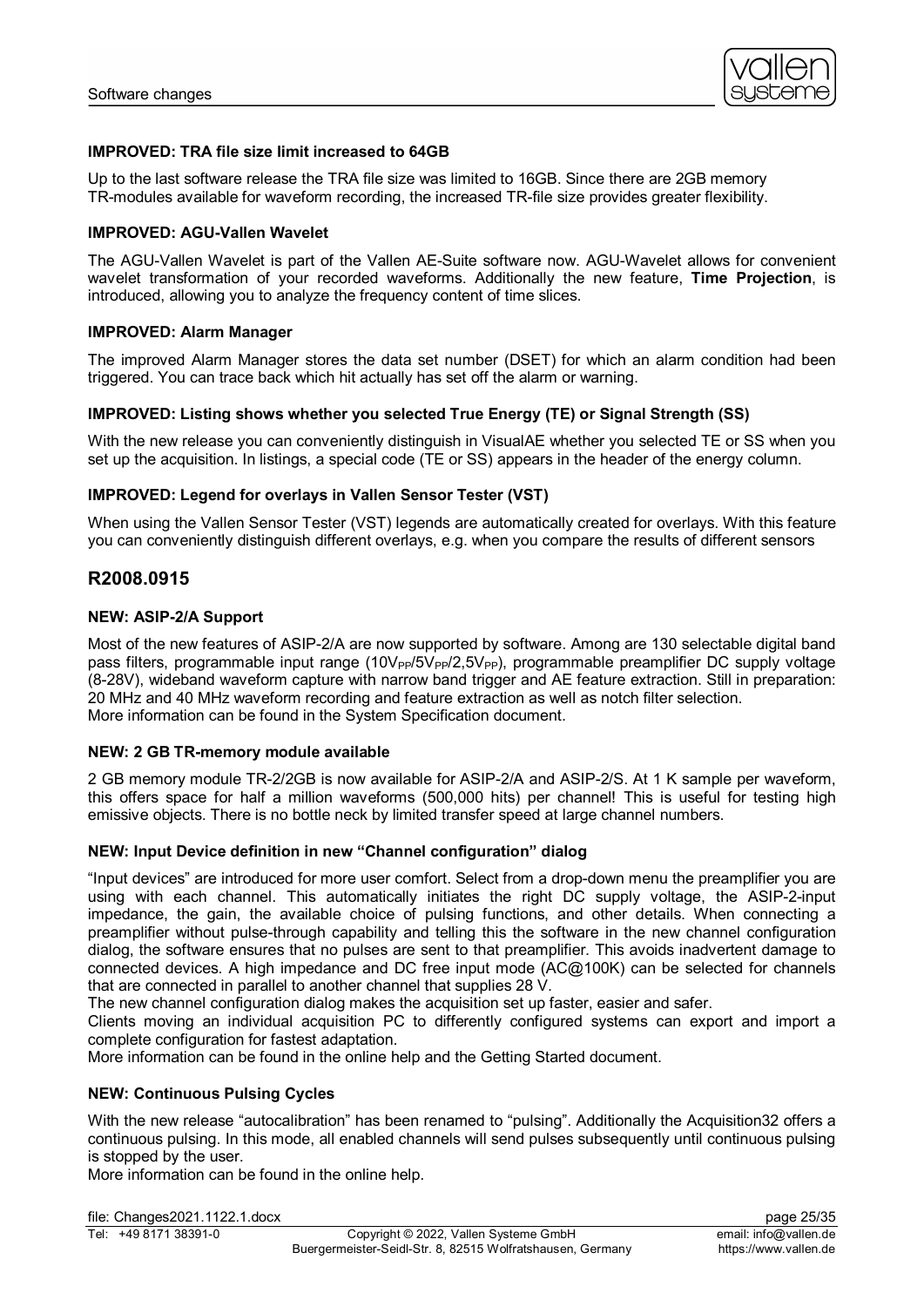

# **IMPROVED: TRA file size limit increased to 64GB**

Up to the last software release the TRA file size was limited to 16GB. Since there are 2GB memory TR-modules available for waveform recording, the increased TR-file size provides greater flexibility.

#### **IMPROVED: AGU-Vallen Wavelet**

The AGU-Vallen Wavelet is part of the Vallen AE-Suite software now. AGU-Wavelet allows for convenient wavelet transformation of your recorded waveforms. Additionally the new feature, **Time Projection**, is introduced, allowing you to analyze the frequency content of time slices.

#### **IMPROVED: Alarm Manager**

The improved Alarm Manager stores the data set number (DSET) for which an alarm condition had been triggered. You can trace back which hit actually has set off the alarm or warning.

#### **IMPROVED: Listing shows whether you selected True Energy (TE) or Signal Strength (SS)**

With the new release you can conveniently distinguish in VisualAE whether you selected TE or SS when you set up the acquisition. In listings, a special code (TE or SS) appears in the header of the energy column.

#### **IMPROVED: Legend for overlays in Vallen Sensor Tester (VST)**

When using the Vallen Sensor Tester (VST) legends are automatically created for overlays. With this feature you can conveniently distinguish different overlays, e.g. when you compare the results of different sensors

# **R2008.0915**

#### **NEW: ASIP-2/A Support**

Most of the new features of ASIP-2/A are now supported by software. Among are 130 selectable digital band pass filters, programmable input range  $(10V_{PP}/5V_{PP}/2,5V_{PP})$ , programmable preamplifier DC supply voltage (8-28V), wideband waveform capture with narrow band trigger and AE feature extraction. Still in preparation: 20 MHz and 40 MHz waveform recording and feature extraction as well as notch filter selection. More information can be found in the System Specification document.

#### **NEW: 2 GB TR-memory module available**

2 GB memory module TR-2/2GB is now available for ASIP-2/A and ASIP-2/S. At 1 K sample per waveform, this offers space for half a million waveforms (500,000 hits) per channel! This is useful for testing high emissive objects. There is no bottle neck by limited transfer speed at large channel numbers.

#### **NEW: Input Device definition in new "Channel configuration" dialog**

"Input devices" are introduced for more user comfort. Select from a drop-down menu the preamplifier you are using with each channel. This automatically initiates the right DC supply voltage, the ASIP-2-input impedance, the gain, the available choice of pulsing functions, and other details. When connecting a preamplifier without pulse-through capability and telling this the software in the new channel configuration dialog, the software ensures that no pulses are sent to that preamplifier. This avoids inadvertent damage to connected devices. A high impedance and DC free input mode (AC@100K) can be selected for channels that are connected in parallel to another channel that supplies 28 V.

The new channel configuration dialog makes the acquisition set up faster, easier and safer.

Clients moving an individual acquisition PC to differently configured systems can export and import a complete configuration for fastest adaptation.

More information can be found in the online help and the Getting Started document.

#### **NEW: Continuous Pulsing Cycles**

With the new release "autocalibration" has been renamed to "pulsing". Additionally the Acquisition32 offers a continuous pulsing. In this mode, all enabled channels will send pulses subsequently until continuous pulsing is stopped by the user.

More information can be found in the online help.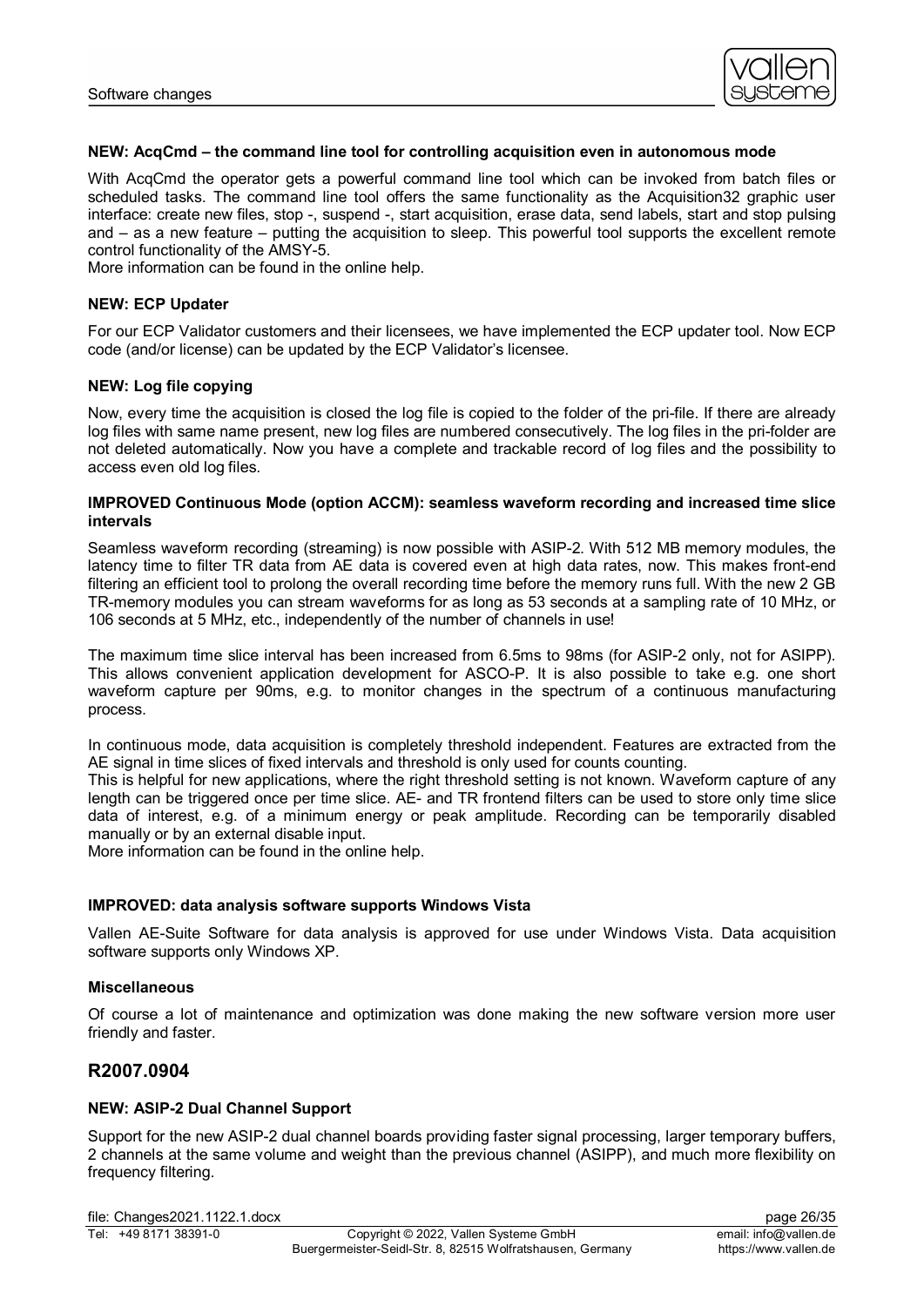

#### **NEW: AcqCmd – the command line tool for controlling acquisition even in autonomous mode**

With AcqCmd the operator gets a powerful command line tool which can be invoked from batch files or scheduled tasks. The command line tool offers the same functionality as the Acquisition32 graphic user interface: create new files, stop -, suspend -, start acquisition, erase data, send labels, start and stop pulsing and – as a new feature – putting the acquisition to sleep. This powerful tool supports the excellent remote control functionality of the AMSY-5.

More information can be found in the online help.

### **NEW: ECP Updater**

For our ECP Validator customers and their licensees, we have implemented the ECP updater tool. Now ECP code (and/or license) can be updated by the ECP Validator's licensee.

#### **NEW: Log file copying**

Now, every time the acquisition is closed the log file is copied to the folder of the pri-file. If there are already log files with same name present, new log files are numbered consecutively. The log files in the pri-folder are not deleted automatically. Now you have a complete and trackable record of log files and the possibility to access even old log files.

#### **IMPROVED Continuous Mode (option ACCM): seamless waveform recording and increased time slice intervals**

Seamless waveform recording (streaming) is now possible with ASIP-2. With 512 MB memory modules, the latency time to filter TR data from AE data is covered even at high data rates, now. This makes front-end filtering an efficient tool to prolong the overall recording time before the memory runs full. With the new 2 GB TR-memory modules you can stream waveforms for as long as 53 seconds at a sampling rate of 10 MHz, or 106 seconds at 5 MHz, etc., independently of the number of channels in use!

The maximum time slice interval has been increased from 6.5ms to 98ms (for ASIP-2 only, not for ASIPP). This allows convenient application development for ASCO-P. It is also possible to take e.g. one short waveform capture per 90ms, e.g. to monitor changes in the spectrum of a continuous manufacturing process.

In continuous mode, data acquisition is completely threshold independent. Features are extracted from the AE signal in time slices of fixed intervals and threshold is only used for counts counting.

This is helpful for new applications, where the right threshold setting is not known. Waveform capture of any length can be triggered once per time slice. AE- and TR frontend filters can be used to store only time slice data of interest, e.g. of a minimum energy or peak amplitude. Recording can be temporarily disabled manually or by an external disable input.

More information can be found in the online help.

#### **IMPROVED: data analysis software supports Windows Vista**

Vallen AE-Suite Software for data analysis is approved for use under Windows Vista. Data acquisition software supports only Windows XP.

#### **Miscellaneous**

Of course a lot of maintenance and optimization was done making the new software version more user friendly and faster.

# **R2007.0904**

# **NEW: ASIP-2 Dual Channel Support**

Support for the new ASIP-2 dual channel boards providing faster signal processing, larger temporary buffers, 2 channels at the same volume and weight than the previous channel (ASIPP), and much more flexibility on frequency filtering.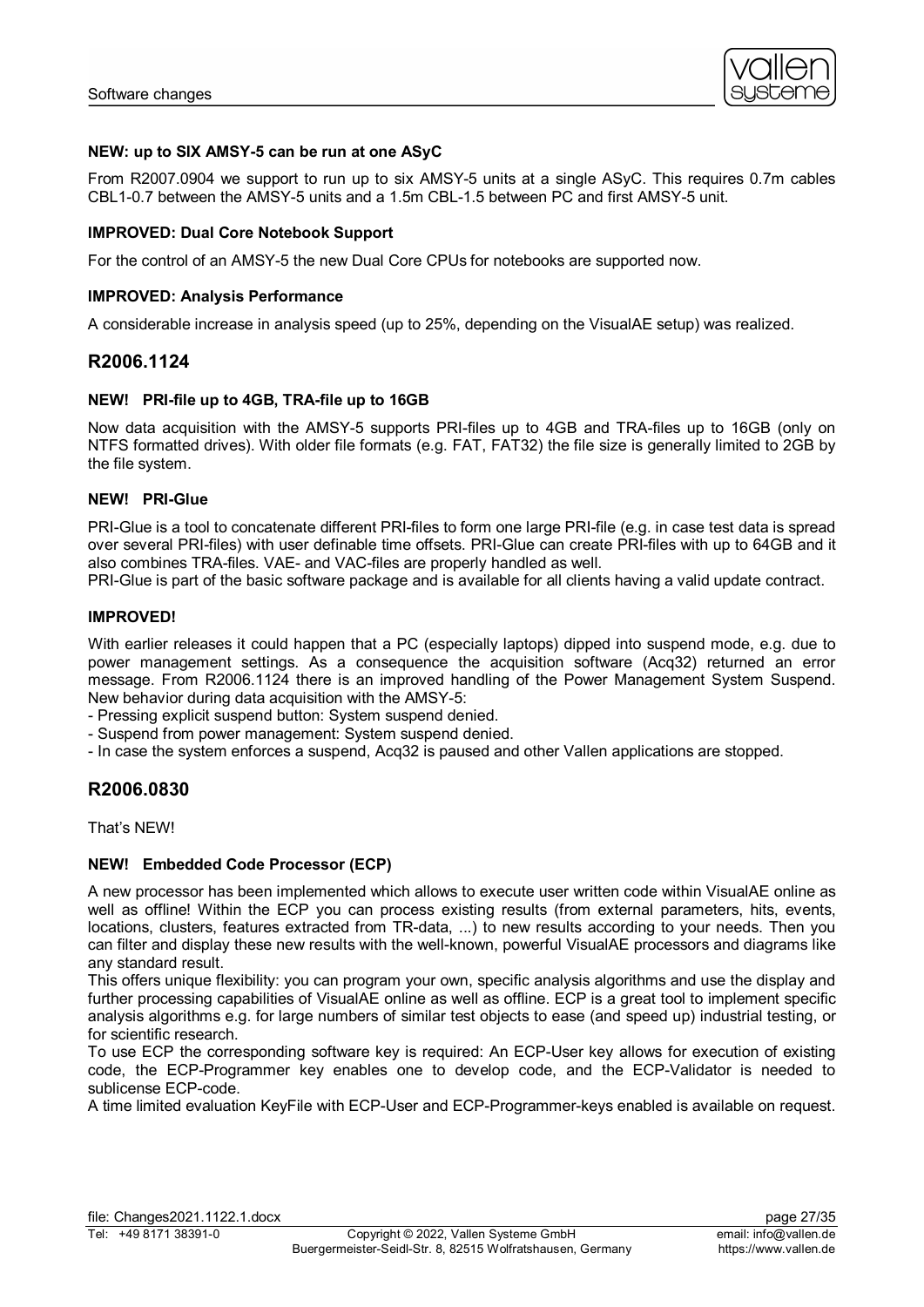

# **NEW: up to SIX AMSY-5 can be run at one ASyC**

From R2007.0904 we support to run up to six AMSY-5 units at a single ASyC. This requires 0.7m cables CBL1-0.7 between the AMSY-5 units and a 1.5m CBL-1.5 between PC and first AMSY-5 unit.

### **IMPROVED: Dual Core Notebook Support**

For the control of an AMSY-5 the new Dual Core CPUs for notebooks are supported now.

# **IMPROVED: Analysis Performance**

A considerable increase in analysis speed (up to 25%, depending on the VisualAE setup) was realized.

# **R2006.1124**

# **NEW! PRI-file up to 4GB, TRA-file up to 16GB**

Now data acquisition with the AMSY-5 supports PRI-files up to 4GB and TRA-files up to 16GB (only on NTFS formatted drives). With older file formats (e.g. FAT, FAT32) the file size is generally limited to 2GB by the file system.

# **NEW! PRI-Glue**

PRI-Glue is a tool to concatenate different PRI-files to form one large PRI-file (e.g. in case test data is spread over several PRI-files) with user definable time offsets. PRI-Glue can create PRI-files with up to 64GB and it also combines TRA-files. VAE- and VAC-files are properly handled as well.

PRI-Glue is part of the basic software package and is available for all clients having a valid update contract.

# **IMPROVED!**

With earlier releases it could happen that a PC (especially laptops) dipped into suspend mode, e.g. due to power management settings. As a consequence the acquisition software (Acq32) returned an error message. From R2006.1124 there is an improved handling of the Power Management System Suspend. New behavior during data acquisition with the AMSY-5:

- Pressing explicit suspend button: System suspend denied.

- Suspend from power management: System suspend denied.
- In case the system enforces a suspend, Acq32 is paused and other Vallen applications are stopped.

# **R2006.0830**

That's NEW!

#### **NEW! Embedded Code Processor (ECP)**

A new processor has been implemented which allows to execute user written code within VisualAE online as well as offline! Within the ECP you can process existing results (from external parameters, hits, events, locations, clusters, features extracted from TR-data, ...) to new results according to your needs. Then you can filter and display these new results with the well-known, powerful VisualAE processors and diagrams like any standard result.

This offers unique flexibility: you can program your own, specific analysis algorithms and use the display and further processing capabilities of VisualAE online as well as offline. ECP is a great tool to implement specific analysis algorithms e.g. for large numbers of similar test objects to ease (and speed up) industrial testing, or for scientific research.

To use ECP the corresponding software key is required: An ECP-User key allows for execution of existing code, the ECP-Programmer key enables one to develop code, and the ECP-Validator is needed to sublicense ECP-code.

A time limited evaluation KeyFile with ECP-User and ECP-Programmer-keys enabled is available on request.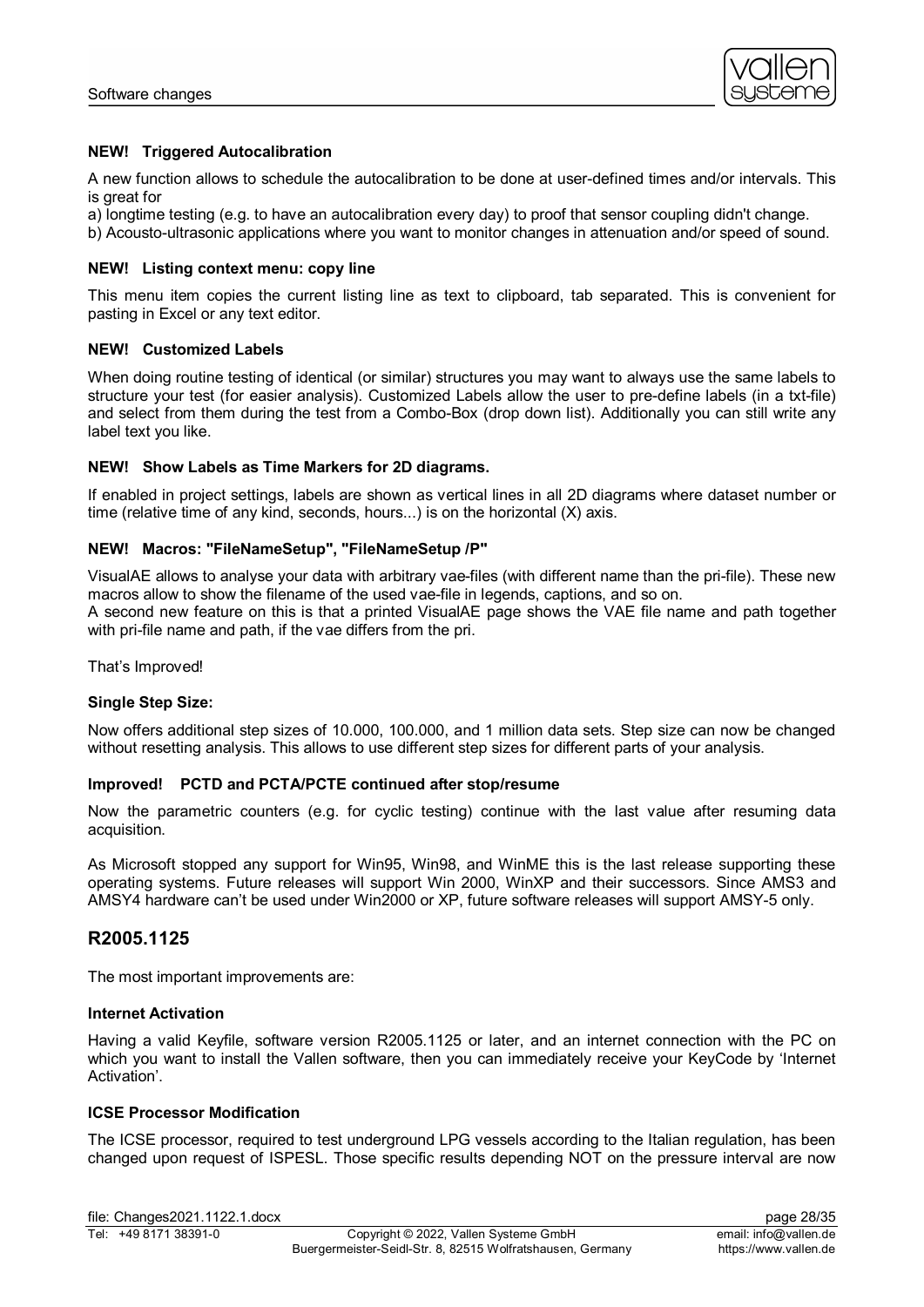

# **NEW! Triggered Autocalibration**

A new function allows to schedule the autocalibration to be done at user-defined times and/or intervals. This is great for

a) longtime testing (e.g. to have an autocalibration every day) to proof that sensor coupling didn't change.

b) Acousto-ultrasonic applications where you want to monitor changes in attenuation and/or speed of sound.

#### **NEW! Listing context menu: copy line**

This menu item copies the current listing line as text to clipboard, tab separated. This is convenient for pasting in Excel or any text editor.

# **NEW! Customized Labels**

When doing routine testing of identical (or similar) structures you may want to always use the same labels to structure your test (for easier analysis). Customized Labels allow the user to pre-define labels (in a txt-file) and select from them during the test from a Combo-Box (drop down list). Additionally you can still write any label text you like.

# **NEW! Show Labels as Time Markers for 2D diagrams.**

If enabled in project settings, labels are shown as vertical lines in all 2D diagrams where dataset number or time (relative time of any kind, seconds, hours...) is on the horizontal (X) axis.

# **NEW! Macros: "FileNameSetup", "FileNameSetup /P"**

VisualAE allows to analyse your data with arbitrary vae-files (with different name than the pri-file). These new macros allow to show the filename of the used vae-file in legends, captions, and so on. A second new feature on this is that a printed VisualAE page shows the VAE file name and path together with pri-file name and path, if the vae differs from the pri.

That's Improved!

#### **Single Step Size:**

Now offers additional step sizes of 10.000, 100.000, and 1 million data sets. Step size can now be changed without resetting analysis. This allows to use different step sizes for different parts of your analysis.

#### **Improved! PCTD and PCTA/PCTE continued after stop/resume**

Now the parametric counters (e.g. for cyclic testing) continue with the last value after resuming data acquisition.

As Microsoft stopped any support for Win95, Win98, and WinME this is the last release supporting these operating systems. Future releases will support Win 2000, WinXP and their successors. Since AMS3 and AMSY4 hardware can't be used under Win2000 or XP, future software releases will support AMSY-5 only.

# **R2005.1125**

The most important improvements are:

#### **Internet Activation**

Having a valid Keyfile, software version R2005.1125 or later, and an internet connection with the PC on which you want to install the Vallen software, then you can immediately receive your KeyCode by 'Internet Activation'.

# **ICSE Processor Modification**

The ICSE processor, required to test underground LPG vessels according to the Italian regulation, has been changed upon request of ISPESL. Those specific results depending NOT on the pressure interval are now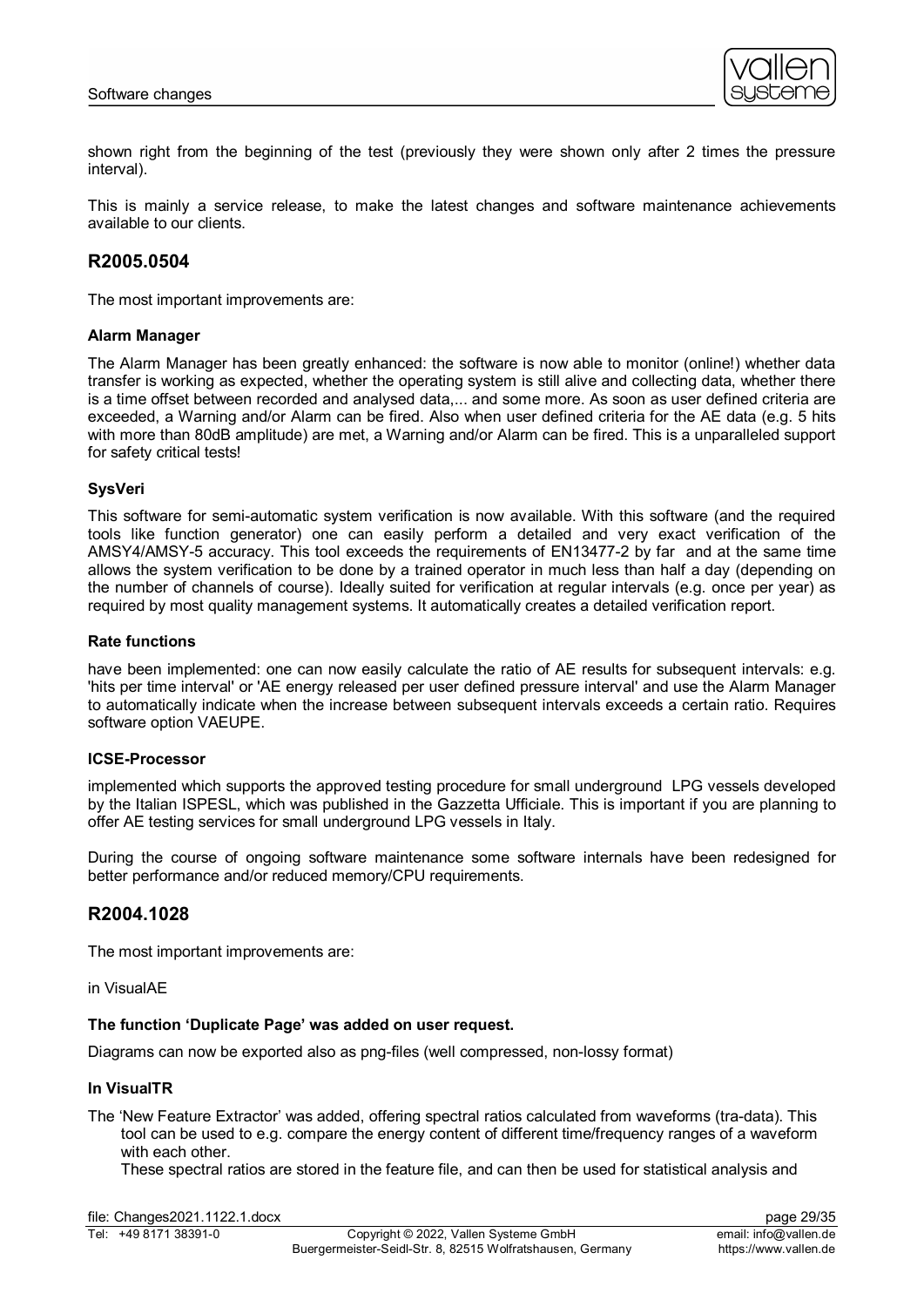

shown right from the beginning of the test (previously they were shown only after 2 times the pressure interval).

This is mainly a service release, to make the latest changes and software maintenance achievements available to our clients.

# **R2005.0504**

The most important improvements are:

#### **Alarm Manager**

The Alarm Manager has been greatly enhanced: the software is now able to monitor (online!) whether data transfer is working as expected, whether the operating system is still alive and collecting data, whether there is a time offset between recorded and analysed data,... and some more. As soon as user defined criteria are exceeded, a Warning and/or Alarm can be fired. Also when user defined criteria for the AE data (e.g. 5 hits with more than 80dB amplitude) are met, a Warning and/or Alarm can be fired. This is a unparalleled support for safety critical tests!

# **SysVeri**

This software for semi-automatic system verification is now available. With this software (and the required tools like function generator) one can easily perform a detailed and very exact verification of the AMSY4/AMSY-5 accuracy. This tool exceeds the requirements of EN13477-2 by far and at the same time allows the system verification to be done by a trained operator in much less than half a day (depending on the number of channels of course). Ideally suited for verification at regular intervals (e.g. once per year) as required by most quality management systems. It automatically creates a detailed verification report.

#### **Rate functions**

have been implemented: one can now easily calculate the ratio of AE results for subsequent intervals: e.g. 'hits per time interval' or 'AE energy released per user defined pressure interval' and use the Alarm Manager to automatically indicate when the increase between subsequent intervals exceeds a certain ratio. Requires software option VAEUPE.

#### **ICSE-Processor**

implemented which supports the approved testing procedure for small underground LPG vessels developed by the Italian ISPESL, which was published in the Gazzetta Ufficiale. This is important if you are planning to offer AE testing services for small underground LPG vessels in Italy.

During the course of ongoing software maintenance some software internals have been redesigned for better performance and/or reduced memory/CPU requirements.

# **R2004.1028**

The most important improvements are:

in VisualAE

#### **The function 'Duplicate Page' was added on user request.**

Diagrams can now be exported also as png-files (well compressed, non-lossy format)

#### **In VisualTR**

The 'New Feature Extractor' was added, offering spectral ratios calculated from waveforms (tra-data). This tool can be used to e.g. compare the energy content of different time/frequency ranges of a waveform with each other.

These spectral ratios are stored in the feature file, and can then be used for statistical analysis and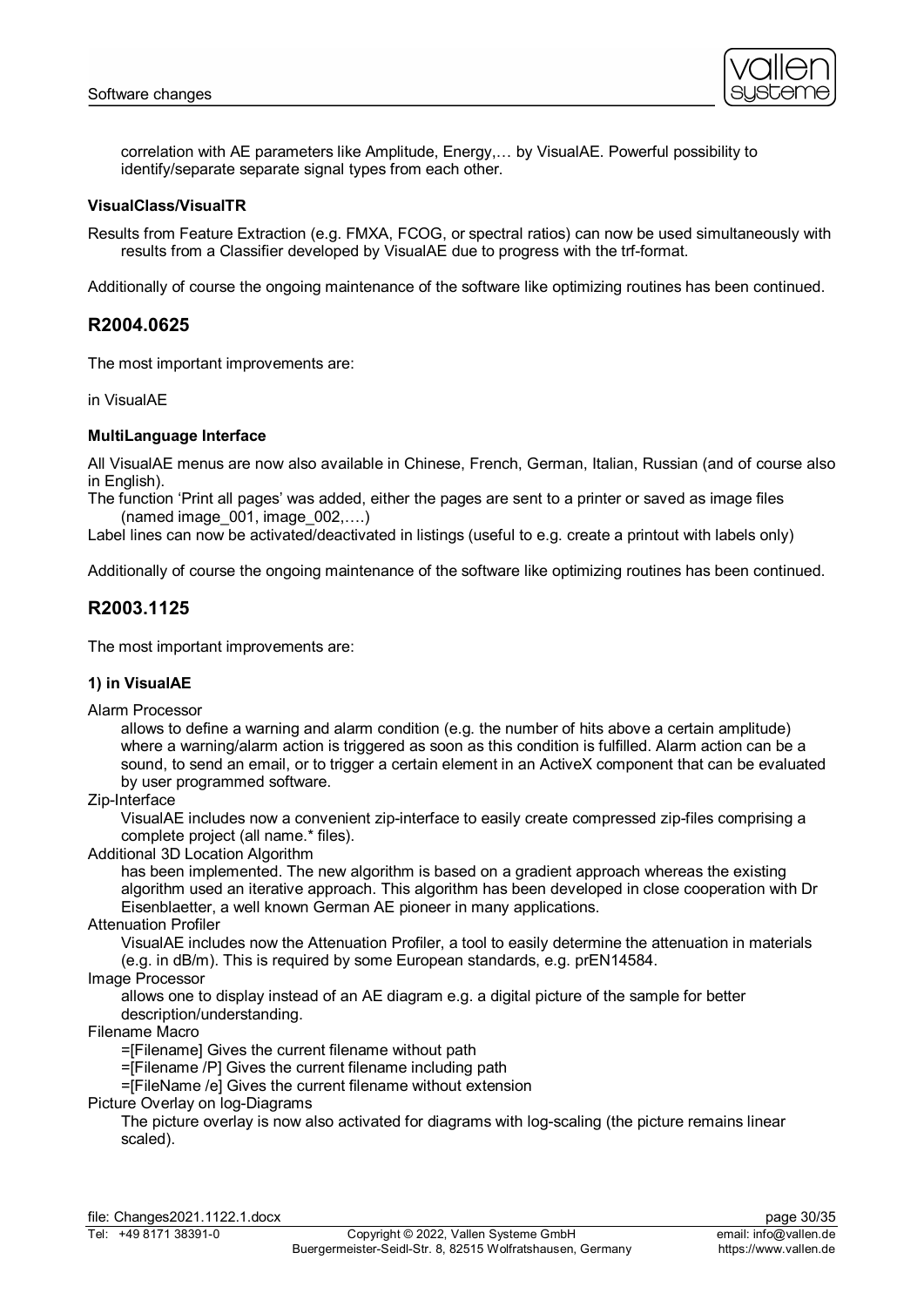

correlation with AE parameters like Amplitude, Energy,… by VisualAE. Powerful possibility to identify/separate separate signal types from each other.

# **VisualClass/VisualTR**

Results from Feature Extraction (e.g. FMXA, FCOG, or spectral ratios) can now be used simultaneously with results from a Classifier developed by VisualAE due to progress with the trf-format.

Additionally of course the ongoing maintenance of the software like optimizing routines has been continued.

# **R2004.0625**

The most important improvements are:

in VisualAE

#### **MultiLanguage Interface**

All VisualAE menus are now also available in Chinese, French, German, Italian, Russian (and of course also in English).

The function 'Print all pages' was added, either the pages are sent to a printer or saved as image files  $(named \text{ image } 001, \text{ image } 002,...)$ 

Label lines can now be activated/deactivated in listings (useful to e.g. create a printout with labels only)

Additionally of course the ongoing maintenance of the software like optimizing routines has been continued.

# **R2003.1125**

The most important improvements are:

#### **1) in VisualAE**

Alarm Processor

allows to define a warning and alarm condition (e.g. the number of hits above a certain amplitude) where a warning/alarm action is triggered as soon as this condition is fulfilled. Alarm action can be a sound, to send an email, or to trigger a certain element in an ActiveX component that can be evaluated by user programmed software.

#### Zip-Interface

VisualAE includes now a convenient zip-interface to easily create compressed zip-files comprising a complete project (all name.\* files).

Additional 3D Location Algorithm

has been implemented. The new algorithm is based on a gradient approach whereas the existing algorithm used an iterative approach. This algorithm has been developed in close cooperation with Dr Eisenblaetter, a well known German AE pioneer in many applications.

#### Attenuation Profiler

VisualAE includes now the Attenuation Profiler, a tool to easily determine the attenuation in materials (e.g. in dB/m). This is required by some European standards, e.g. prEN14584.

#### Image Processor

allows one to display instead of an AE diagram e.g. a digital picture of the sample for better description/understanding.

#### Filename Macro

=[Filename] Gives the current filename without path

=[Filename /P] Gives the current filename including path

=[FileName /e] Gives the current filename without extension

#### Picture Overlay on log-Diagrams

The picture overlay is now also activated for diagrams with log-scaling (the picture remains linear scaled).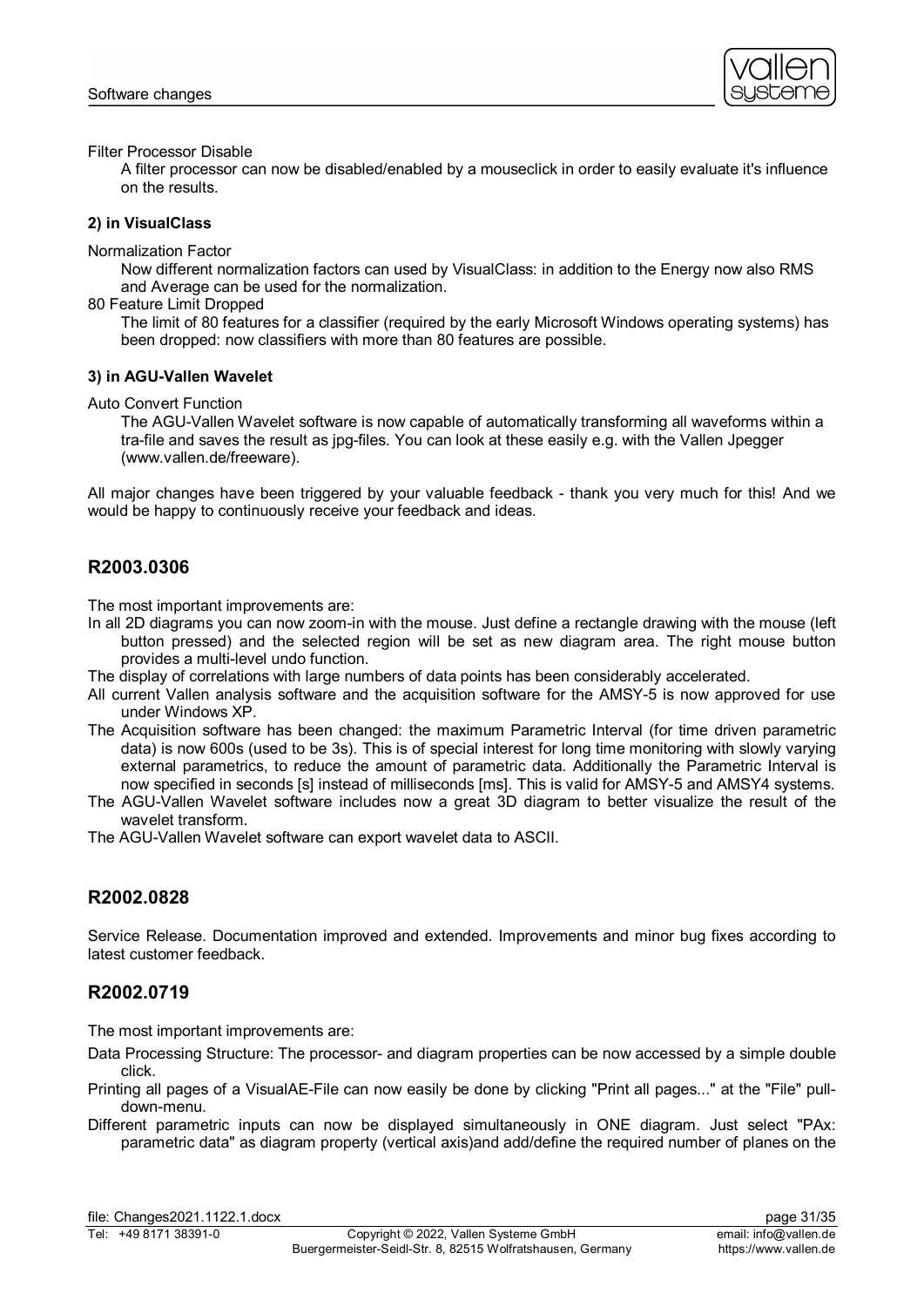

Filter Processor Disable

A filter processor can now be disabled/enabled by a mouseclick in order to easily evaluate it's influence on the results.

# **2) in VisualClass**

Normalization Factor

Now different normalization factors can used by VisualClass: in addition to the Energy now also RMS and Average can be used for the normalization.

80 Feature Limit Dropped

The limit of 80 features for a classifier (required by the early Microsoft Windows operating systems) has been dropped: now classifiers with more than 80 features are possible.

# **3) in AGU-Vallen Wavelet**

Auto Convert Function

The AGU-Vallen Wavelet software is now capable of automatically transforming all waveforms within a tra-file and saves the result as jpg-files. You can look at these easily e.g. with the Vallen Jpegger (www.vallen.de/freeware).

All major changes have been triggered by your valuable feedback - thank you very much for this! And we would be happy to continuously receive your feedback and ideas.

# **R2003.0306**

The most important improvements are:

- In all 2D diagrams you can now zoom-in with the mouse. Just define a rectangle drawing with the mouse (left button pressed) and the selected region will be set as new diagram area. The right mouse button provides a multi-level undo function.
- The display of correlations with large numbers of data points has been considerably accelerated.
- All current Vallen analysis software and the acquisition software for the AMSY-5 is now approved for use under Windows XP.
- The Acquisition software has been changed: the maximum Parametric Interval (for time driven parametric data) is now 600s (used to be 3s). This is of special interest for long time monitoring with slowly varying external parametrics, to reduce the amount of parametric data. Additionally the Parametric Interval is now specified in seconds [s] instead of milliseconds [ms]. This is valid for AMSY-5 and AMSY4 systems.
- The AGU-Vallen Wavelet software includes now a great 3D diagram to better visualize the result of the wavelet transform.
- The AGU-Vallen Wavelet software can export wavelet data to ASCII.

# **R2002.0828**

Service Release. Documentation improved and extended. Improvements and minor bug fixes according to latest customer feedback.

# **R2002.0719**

The most important improvements are:

- Data Processing Structure: The processor- and diagram properties can be now accessed by a simple double click.
- Printing all pages of a VisualAE-File can now easily be done by clicking "Print all pages..." at the "File" pulldown-menu.
- Different parametric inputs can now be displayed simultaneously in ONE diagram. Just select "PAx: parametric data" as diagram property (vertical axis)and add/define the required number of planes on the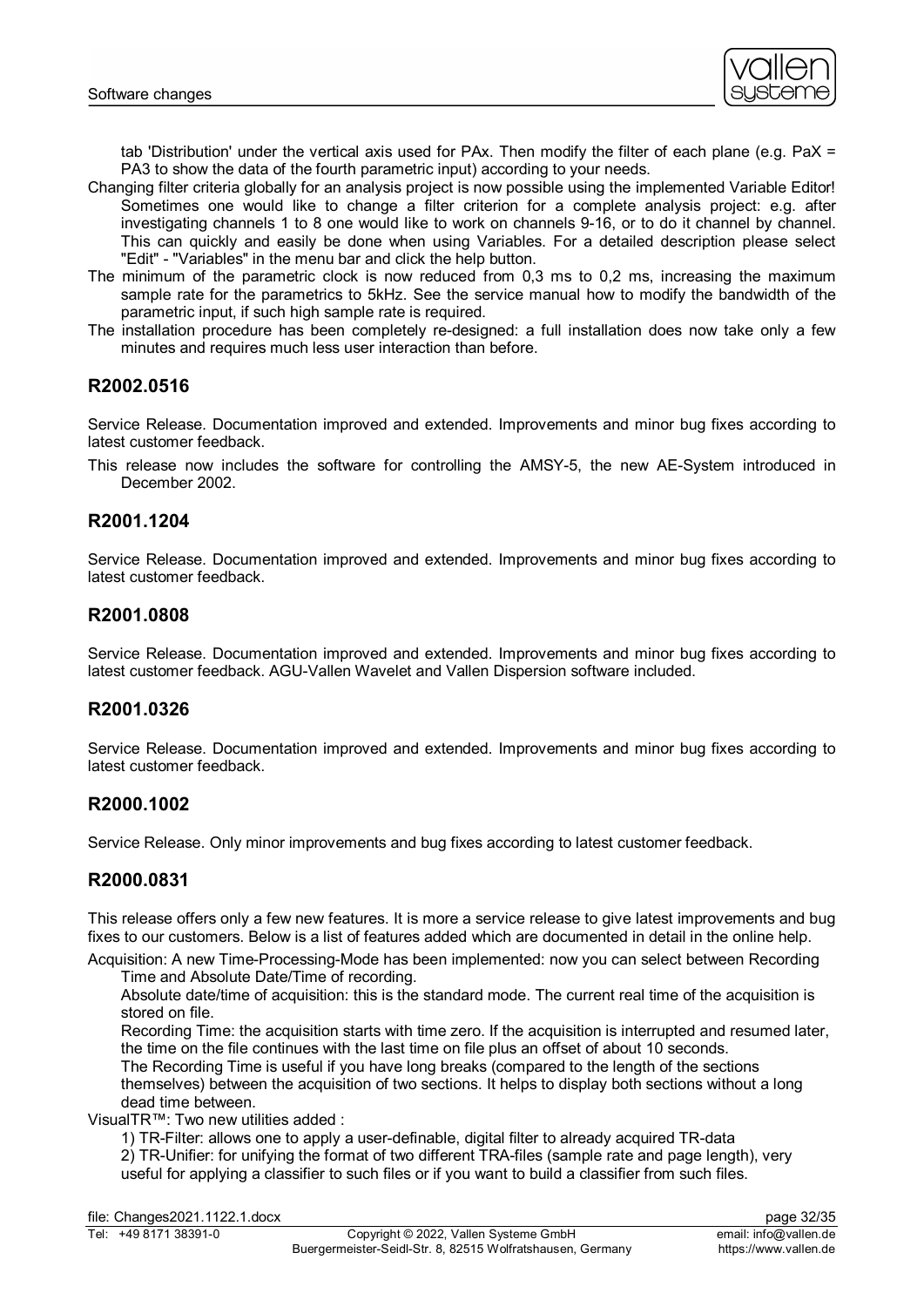

tab 'Distribution' under the vertical axis used for PAx. Then modify the filter of each plane (e.g. PaX = PA3 to show the data of the fourth parametric input) according to your needs.

- Changing filter criteria globally for an analysis project is now possible using the implemented Variable Editor! Sometimes one would like to change a filter criterion for a complete analysis project: e.g. after investigating channels 1 to 8 one would like to work on channels 9-16, or to do it channel by channel. This can quickly and easily be done when using Variables. For a detailed description please select "Edit" - "Variables" in the menu bar and click the help button.
- The minimum of the parametric clock is now reduced from 0,3 ms to 0,2 ms, increasing the maximum sample rate for the parametrics to 5kHz. See the service manual how to modify the bandwidth of the parametric input, if such high sample rate is required.
- The installation procedure has been completely re-designed: a full installation does now take only a few minutes and requires much less user interaction than before.

# **R2002.0516**

Service Release. Documentation improved and extended. Improvements and minor bug fixes according to latest customer feedback.

This release now includes the software for controlling the AMSY-5, the new AE-System introduced in December 2002.

# **R2001.1204**

Service Release. Documentation improved and extended. Improvements and minor bug fixes according to latest customer feedback.

# **R2001.0808**

Service Release. Documentation improved and extended. Improvements and minor bug fixes according to latest customer feedback. AGU-Vallen Wavelet and Vallen Dispersion software included.

# **R2001.0326**

Service Release. Documentation improved and extended. Improvements and minor bug fixes according to latest customer feedback.

# **R2000.1002**

Service Release. Only minor improvements and bug fixes according to latest customer feedback.

# **R2000.0831**

This release offers only a few new features. It is more a service release to give latest improvements and bug fixes to our customers. Below is a list of features added which are documented in detail in the online help.

Acquisition: A new Time-Processing-Mode has been implemented: now you can select between Recording Time and Absolute Date/Time of recording.

Absolute date/time of acquisition: this is the standard mode. The current real time of the acquisition is stored on file.

Recording Time: the acquisition starts with time zero. If the acquisition is interrupted and resumed later, the time on the file continues with the last time on file plus an offset of about 10 seconds.

The Recording Time is useful if you have long breaks (compared to the length of the sections themselves) between the acquisition of two sections. It helps to display both sections without a long dead time between.

VisualTR™: Two new utilities added :

1) TR-Filter: allows one to apply a user-definable, digital filter to already acquired TR-data

2) TR-Unifier: for unifying the format of two different TRA-files (sample rate and page length), very useful for applying a classifier to such files or if you want to build a classifier from such files.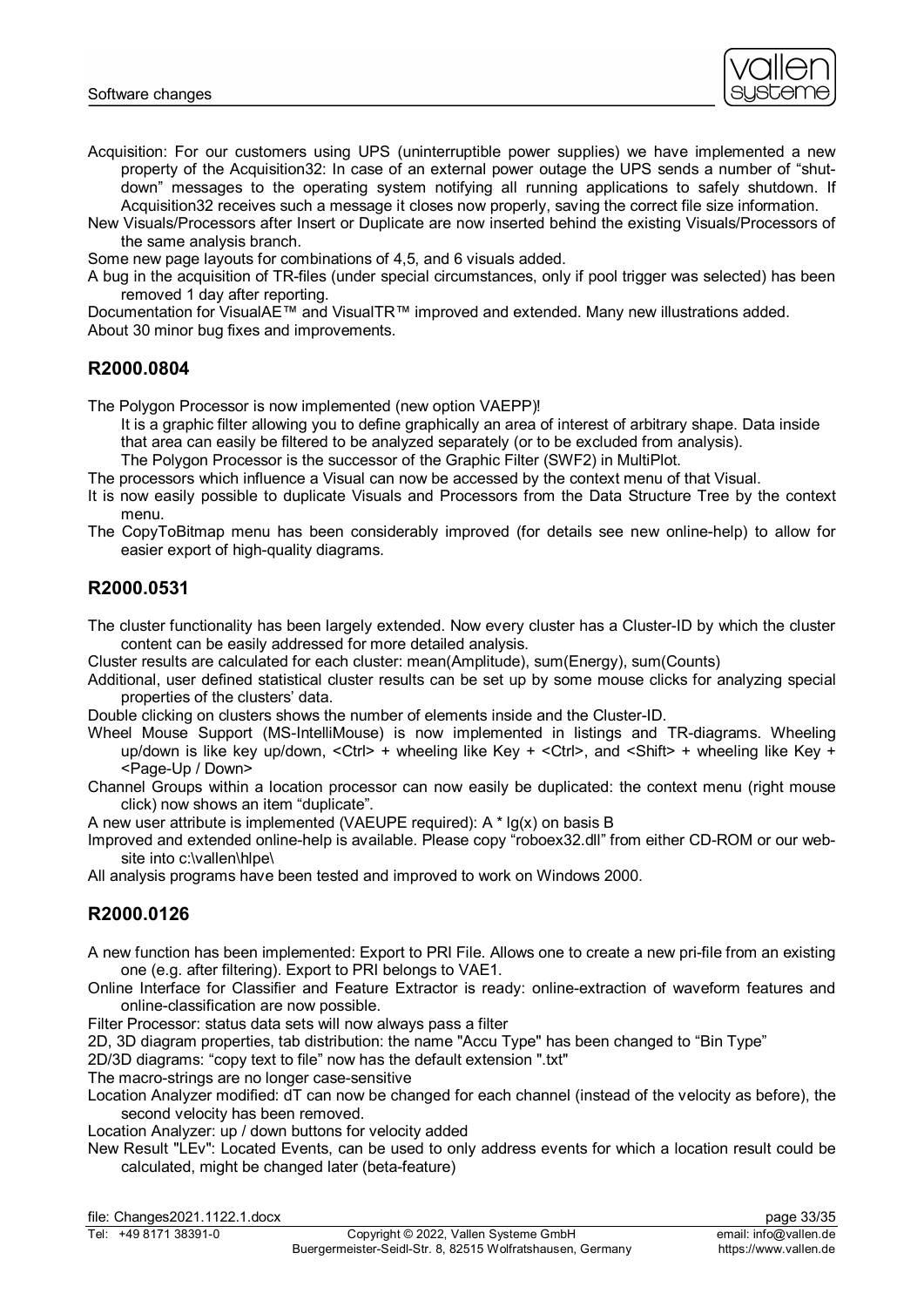

- Acquisition: For our customers using UPS (uninterruptible power supplies) we have implemented a new property of the Acquisition32: In case of an external power outage the UPS sends a number of "shutdown" messages to the operating system notifying all running applications to safely shutdown. If Acquisition32 receives such a message it closes now properly, saving the correct file size information.
- New Visuals/Processors after Insert or Duplicate are now inserted behind the existing Visuals/Processors of the same analysis branch.

Some new page layouts for combinations of 4,5, and 6 visuals added.

A bug in the acquisition of TR-files (under special circumstances, only if pool trigger was selected) has been removed 1 day after reporting.

Documentation for VisualAE™ and VisualTR™ improved and extended. Many new illustrations added. About 30 minor bug fixes and improvements.

# **R2000.0804**

The Polygon Processor is now implemented (new option VAEPP)!

It is a graphic filter allowing you to define graphically an area of interest of arbitrary shape. Data inside that area can easily be filtered to be analyzed separately (or to be excluded from analysis).

The Polygon Processor is the successor of the Graphic Filter (SWF2) in MultiPlot.

The processors which influence a Visual can now be accessed by the context menu of that Visual.

- It is now easily possible to duplicate Visuals and Processors from the Data Structure Tree by the context menu.
- The CopyToBitmap menu has been considerably improved (for details see new online-help) to allow for easier export of high-quality diagrams.

# **R2000.0531**

The cluster functionality has been largely extended. Now every cluster has a Cluster-ID by which the cluster content can be easily addressed for more detailed analysis.

Cluster results are calculated for each cluster: mean(Amplitude), sum(Energy), sum(Counts)

Additional, user defined statistical cluster results can be set up by some mouse clicks for analyzing special properties of the clusters' data.

Double clicking on clusters shows the number of elements inside and the Cluster-ID.

- Wheel Mouse Support (MS-IntelliMouse) is now implemented in listings and TR-diagrams. Wheeling up/down is like key up/down, <Ctrl> + wheeling like Key + <Ctrl>, and <Shift> + wheeling like Key + <Page-Up / Down>
- Channel Groups within a location processor can now easily be duplicated: the context menu (right mouse click) now shows an item "duplicate".

A new user attribute is implemented (VAEUPE required):  $A * lg(x)$  on basis B

Improved and extended online-help is available. Please copy "roboex32.dll" from either CD-ROM or our website into c:\vallen\hlpe\

All analysis programs have been tested and improved to work on Windows 2000.

# **R2000.0126**

A new function has been implemented: Export to PRI File. Allows one to create a new pri-file from an existing one (e.g. after filtering). Export to PRI belongs to VAE1.

Online Interface for Classifier and Feature Extractor is ready: online-extraction of waveform features and online-classification are now possible.

Filter Processor: status data sets will now always pass a filter

2D, 3D diagram properties, tab distribution: the name "Accu Type" has been changed to "Bin Type"

2D/3D diagrams: "copy text to file" now has the default extension ".txt"

The macro-strings are no longer case-sensitive

Location Analyzer modified: dT can now be changed for each channel (instead of the velocity as before), the second velocity has been removed.

Location Analyzer: up / down buttons for velocity added

New Result "LEv": Located Events, can be used to only address events for which a location result could be calculated, might be changed later (beta-feature)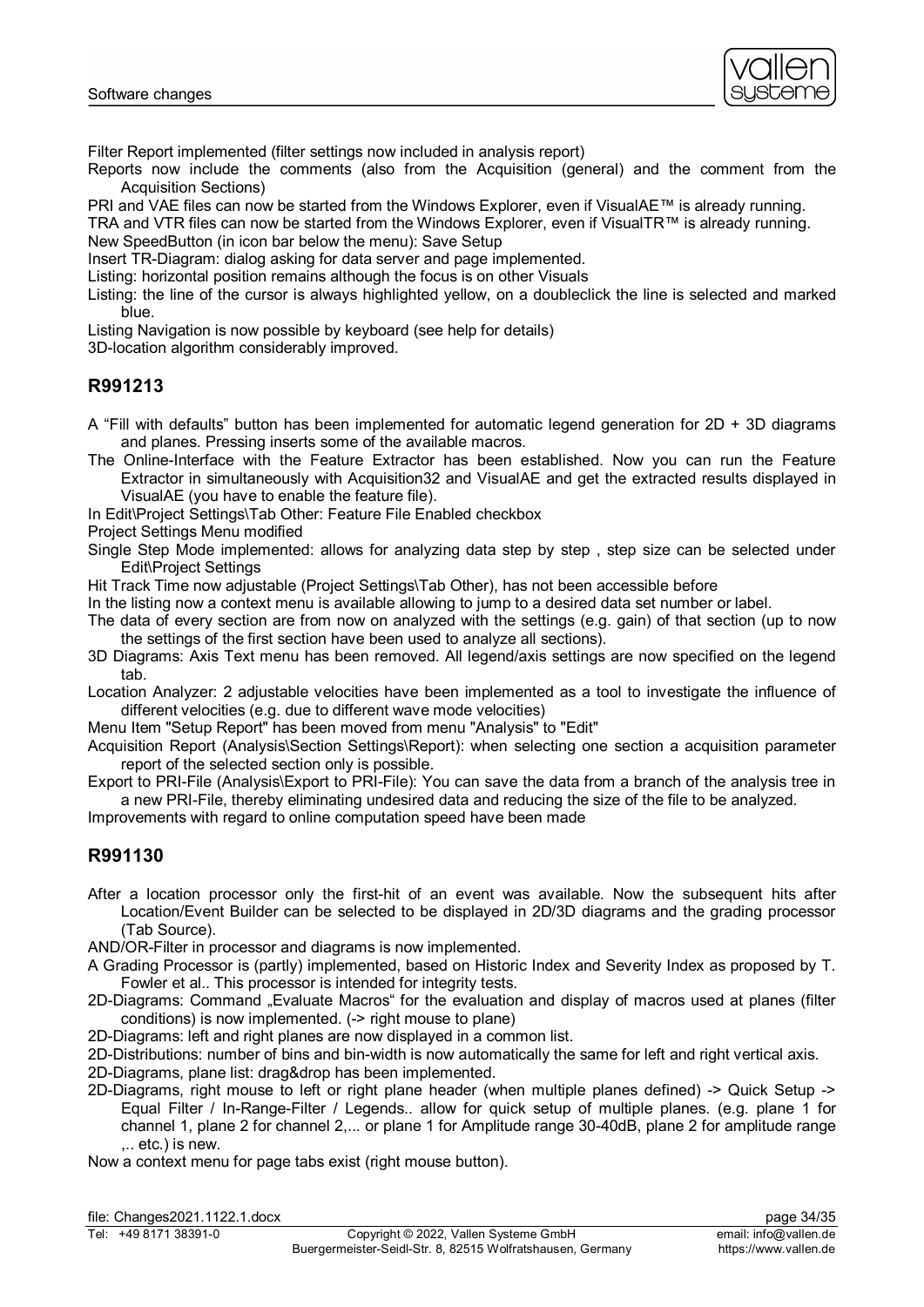

Filter Report implemented (filter settings now included in analysis report)

Reports now include the comments (also from the Acquisition (general) and the comment from the Acquisition Sections)

PRI and VAE files can now be started from the Windows Explorer, even if VisualAE™ is already running.

TRA and VTR files can now be started from the Windows Explorer, even if VisualTR™ is already running. New SpeedButton (in icon bar below the menu): Save Setup

Insert TR-Diagram: dialog asking for data server and page implemented.

Listing: horizontal position remains although the focus is on other Visuals

Listing: the line of the cursor is always highlighted yellow, on a doubleclick the line is selected and marked blue.

Listing Navigation is now possible by keyboard (see help for details)

3D-location algorithm considerably improved.

# **R991213**

- A "Fill with defaults" button has been implemented for automatic legend generation for 2D + 3D diagrams and planes. Pressing inserts some of the available macros.
- The Online-Interface with the Feature Extractor has been established. Now you can run the Feature Extractor in simultaneously with Acquisition32 and VisualAE and get the extracted results displayed in VisualAE (you have to enable the feature file).

In Edit\Project Settings\Tab Other: Feature File Enabled checkbox

Project Settings Menu modified

Single Step Mode implemented: allows for analyzing data step by step , step size can be selected under Edit\Project Settings

Hit Track Time now adjustable (Project Settings\Tab Other), has not been accessible before

In the listing now a context menu is available allowing to jump to a desired data set number or label.

The data of every section are from now on analyzed with the settings (e.g. gain) of that section (up to now the settings of the first section have been used to analyze all sections).

3D Diagrams: Axis Text menu has been removed. All legend/axis settings are now specified on the legend tab.

Location Analyzer: 2 adjustable velocities have been implemented as a tool to investigate the influence of different velocities (e.g. due to different wave mode velocities)

Menu Item "Setup Report" has been moved from menu "Analysis" to "Edit"

Acquisition Report (Analysis\Section Settings\Report): when selecting one section a acquisition parameter report of the selected section only is possible.

Export to PRI-File (Analysis\Export to PRI-File): You can save the data from a branch of the analysis tree in a new PRI-File, thereby eliminating undesired data and reducing the size of the file to be analyzed.

Improvements with regard to online computation speed have been made

# **R991130**

After a location processor only the first-hit of an event was available. Now the subsequent hits after Location/Event Builder can be selected to be displayed in 2D/3D diagrams and the grading processor (Tab Source).

AND/OR-Filter in processor and diagrams is now implemented.

- A Grading Processor is (partly) implemented, based on Historic Index and Severity Index as proposed by T. Fowler et al.. This processor is intended for integrity tests.
- 2D-Diagrams: Command "Evaluate Macros" for the evaluation and display of macros used at planes (filter conditions) is now implemented. (-> right mouse to plane)
- 2D-Diagrams: left and right planes are now displayed in a common list.

2D-Distributions: number of bins and bin-width is now automatically the same for left and right vertical axis.

2D-Diagrams, plane list: drag&drop has been implemented.

- 2D-Diagrams, right mouse to left or right plane header (when multiple planes defined) -> Quick Setup -> Equal Filter / In-Range-Filter / Legends.. allow for quick setup of multiple planes. (e.g. plane 1 for channel 1, plane 2 for channel 2,... or plane 1 for Amplitude range 30-40dB, plane 2 for amplitude range ,.. etc.) is new.
- Now a context menu for page tabs exist (right mouse button).